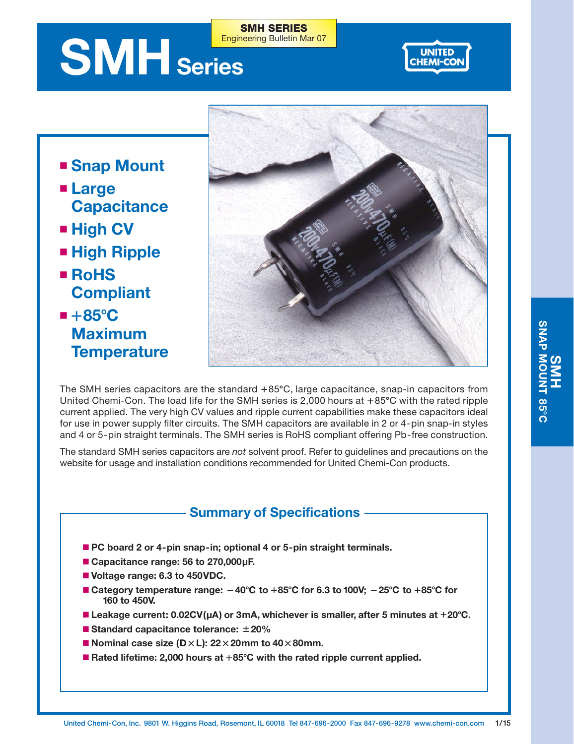# **SMH** Series Engineering Bulletin Mar 07



- **Snap Mount**
- **Large Capacitance**
- High CV
- **High Ripple**
- **RoHS Compliant**
- +85<sup>°</sup>C **Maximum Temperature**



The SMH series capacitors are the standard  $+85^{\circ}\textrm{C}$ , large capacitance, snap-in capacitors from United Chemi-Con. The load life for the SMH series is 2,000 hours at +85°C with the rated ripple current applied. The very high CV values and ripple current capabilities make these capacitors ideal for use in power supply filter circuits. The SMH capacitors are available in 2 or 4-pin snap-in styles and 4 or 5-pin straight terminals. The SMH series is RoHS compliant offering Pb-free construction.

**SMH SERIES**

The standard SMH series capacitors are *not* solvent proof. Refer to guidelines and precautions on the website for usage and installation conditions recommended for United Chemi-Con products.

## **Summary of Specifications**

- PC board 2 or 4-pin snap-in; optional 4 or 5-pin straight terminals.
- **Capacitance range: 56 to 270,000µF.**
- **Voltage range: 6.3 to 450VDC.**
- Category temperature range:  $-40^{\circ}$ C to  $+85^{\circ}$ C for 6.3 to 100V;  $-25^{\circ}$ C to  $+85^{\circ}$ C for **160 to 450V.**
- Leakage current: 0.02CV(µA) or 3mA, whichever is smaller, after 5 minutes at +20°C.
- **Standard capacitance tolerance: 20%**
- **Nominal case size (D** $\times$ L): 22 $\times$ 20mm to 40 $\times$ 80mm.
- Rated lifetime: 2,000 hours at +85°C with the rated ripple current applied.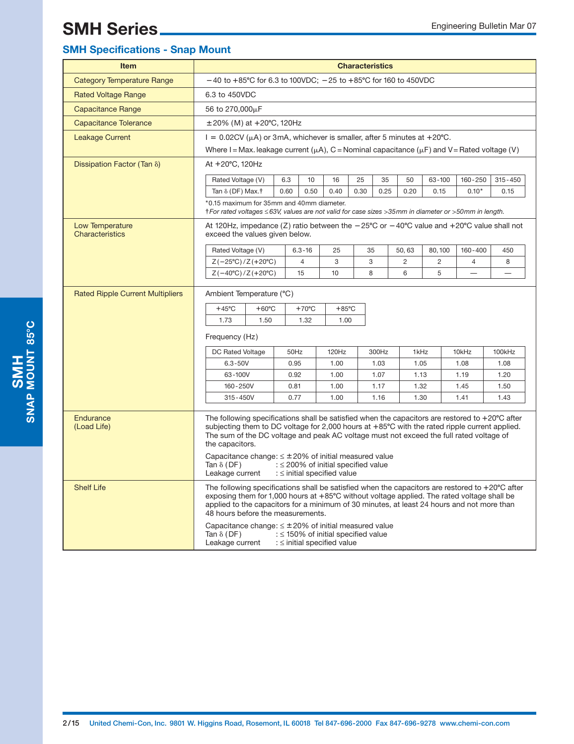## **SMH Specifications - Snap Mount**

| <b>Item</b>                             |                                                                                                                                                                                                                                                                                                                                                                                           |                                                                                                                                                          |                                                                             |                 | <b>Characteristics</b> |              |                |                |                |              |  |
|-----------------------------------------|-------------------------------------------------------------------------------------------------------------------------------------------------------------------------------------------------------------------------------------------------------------------------------------------------------------------------------------------------------------------------------------------|----------------------------------------------------------------------------------------------------------------------------------------------------------|-----------------------------------------------------------------------------|-----------------|------------------------|--------------|----------------|----------------|----------------|--------------|--|
| <b>Category Temperature Range</b>       | $-40$ to $+85^{\circ}$ C for 6.3 to 100VDC; $-25$ to $+85^{\circ}$ C for 160 to 450VDC                                                                                                                                                                                                                                                                                                    |                                                                                                                                                          |                                                                             |                 |                        |              |                |                |                |              |  |
| <b>Rated Voltage Range</b>              | 6.3 to 450VDC                                                                                                                                                                                                                                                                                                                                                                             |                                                                                                                                                          |                                                                             |                 |                        |              |                |                |                |              |  |
| <b>Capacitance Range</b>                | 56 to 270,000µF                                                                                                                                                                                                                                                                                                                                                                           |                                                                                                                                                          |                                                                             |                 |                        |              |                |                |                |              |  |
| <b>Capacitance Tolerance</b>            | $\pm 20\%$ (M) at $+20^{\circ}$ C, 120Hz                                                                                                                                                                                                                                                                                                                                                  |                                                                                                                                                          |                                                                             |                 |                        |              |                |                |                |              |  |
| <b>Leakage Current</b>                  | $I = 0.02CV(\mu A)$ or 3mA, whichever is smaller, after 5 minutes at +20°C.                                                                                                                                                                                                                                                                                                               |                                                                                                                                                          |                                                                             |                 |                        |              |                |                |                |              |  |
|                                         | Where I = Max. leakage current ( $\mu$ A), C = Nominal capacitance ( $\mu$ F) and V = Rated voltage (V)                                                                                                                                                                                                                                                                                   |                                                                                                                                                          |                                                                             |                 |                        |              |                |                |                |              |  |
| Dissipation Factor (Tan $\delta$ )      | At +20°C, 120Hz                                                                                                                                                                                                                                                                                                                                                                           |                                                                                                                                                          |                                                                             |                 |                        |              |                |                |                |              |  |
|                                         | Rated Voltage (V)                                                                                                                                                                                                                                                                                                                                                                         | 6.3                                                                                                                                                      | 10                                                                          | 16              | 25                     | 35           | 50             | $63 - 100$     | $160 - 250$    | $315 - 450$  |  |
|                                         | Tan $\delta$ (DF) Max.†                                                                                                                                                                                                                                                                                                                                                                   | 0.60                                                                                                                                                     | 0.50                                                                        | 0.40            | 0.30                   | 0.25         | 0.20           | 0.15           | $0.10*$        | 0.15         |  |
|                                         | *0.15 maximum for 35mm and 40mm diameter.<br>† For rated voltages ≤63V, values are not valid for case sizes >35mm in diameter or >50mm in length.                                                                                                                                                                                                                                         |                                                                                                                                                          |                                                                             |                 |                        |              |                |                |                |              |  |
| Low Temperature<br>Characteristics      |                                                                                                                                                                                                                                                                                                                                                                                           | At 120Hz, impedance (Z) ratio between the $-25^{\circ}$ C or $-40^{\circ}$ C value and $+20^{\circ}$ C value shall not<br>exceed the values given below. |                                                                             |                 |                        |              |                |                |                |              |  |
|                                         | Rated Voltage (V)                                                                                                                                                                                                                                                                                                                                                                         |                                                                                                                                                          | $6.3 - 16$                                                                  | 25              | 35                     |              | 50,63          | 80,100         | $160 - 400$    | 450          |  |
|                                         | $Z(-25^{\circ}C)/Z(+20^{\circ}C)$                                                                                                                                                                                                                                                                                                                                                         |                                                                                                                                                          | 4                                                                           | 3               | 3                      |              | $\overline{2}$ | $\overline{c}$ | $\overline{4}$ | 8            |  |
|                                         | $Z(-40^{\circ}C)/Z(+20^{\circ}C)$                                                                                                                                                                                                                                                                                                                                                         |                                                                                                                                                          | 15                                                                          | 10              | 8                      |              | 6              | 5              |                |              |  |
| <b>Rated Ripple Current Multipliers</b> | Ambient Temperature (°C)                                                                                                                                                                                                                                                                                                                                                                  |                                                                                                                                                          |                                                                             |                 |                        |              |                |                |                |              |  |
|                                         | $+45^{\circ}$ C<br>$+60^{\circ}$ C                                                                                                                                                                                                                                                                                                                                                        |                                                                                                                                                          | $+70^{\circ}$ C                                                             | $+85^{\circ}$ C |                        |              |                |                |                |              |  |
|                                         | 1.73<br>1.50                                                                                                                                                                                                                                                                                                                                                                              |                                                                                                                                                          | 1.32                                                                        | 1.00            |                        |              |                |                |                |              |  |
|                                         | Frequency (Hz)                                                                                                                                                                                                                                                                                                                                                                            |                                                                                                                                                          |                                                                             |                 |                        |              |                |                |                |              |  |
|                                         | DC Rated Voltage                                                                                                                                                                                                                                                                                                                                                                          |                                                                                                                                                          | 50Hz                                                                        | 120Hz           |                        | 300Hz        | 1kHz           |                | 10kHz          | 100kHz       |  |
|                                         | $6.3 - 50V$                                                                                                                                                                                                                                                                                                                                                                               |                                                                                                                                                          | 0.95                                                                        | 1.00            |                        | 1.03         | 1.05           |                | 1.08           | 1.08         |  |
|                                         | 63-100V                                                                                                                                                                                                                                                                                                                                                                                   |                                                                                                                                                          | 0.92                                                                        | 1.00            |                        | 1.07<br>1.17 | 1.13           |                | 1.19           | 1.20<br>1.50 |  |
|                                         | 160-250V<br>$315 - 450V$                                                                                                                                                                                                                                                                                                                                                                  |                                                                                                                                                          | 0.81<br>0.77                                                                | 1.00<br>1.00    |                        | 1.16         | 1.32<br>1.30   |                | 1.45<br>1.41   | 1.43         |  |
|                                         |                                                                                                                                                                                                                                                                                                                                                                                           |                                                                                                                                                          |                                                                             |                 |                        |              |                |                |                |              |  |
| Endurance<br>(Load Life)                | The following specifications shall be satisfied when the capacitors are restored to $+20^{\circ}$ C after<br>subjecting them to DC voltage for 2,000 hours at +85°C with the rated ripple current applied.<br>The sum of the DC voltage and peak AC voltage must not exceed the full rated voltage of<br>the capacitors.<br>Capacitance change: $\leq \pm 20\%$ of initial measured value |                                                                                                                                                          |                                                                             |                 |                        |              |                |                |                |              |  |
|                                         | Tan $\delta$ (DF)<br>Leakage current                                                                                                                                                                                                                                                                                                                                                      |                                                                                                                                                          | : $\leq$ 200% of initial specified value<br>: $\le$ initial specified value |                 |                        |              |                |                |                |              |  |
| <b>Shelf Life</b>                       | The following specifications shall be satisfied when the capacitors are restored to $+20^{\circ}$ C after<br>exposing them for 1,000 hours at $+85^{\circ}$ C without voltage applied. The rated voltage shall be<br>applied to the capacitors for a minimum of 30 minutes, at least 24 hours and not more than<br>48 hours before the measurements.                                      |                                                                                                                                                          |                                                                             |                 |                        |              |                |                |                |              |  |
|                                         | Capacitance change: $\leq \pm 20\%$ of initial measured value<br>Tan $\delta$ (DF)<br>Leakage current                                                                                                                                                                                                                                                                                     |                                                                                                                                                          | : $\leq$ 150% of initial specified value<br>: $\le$ initial specified value |                 |                        |              |                |                |                |              |  |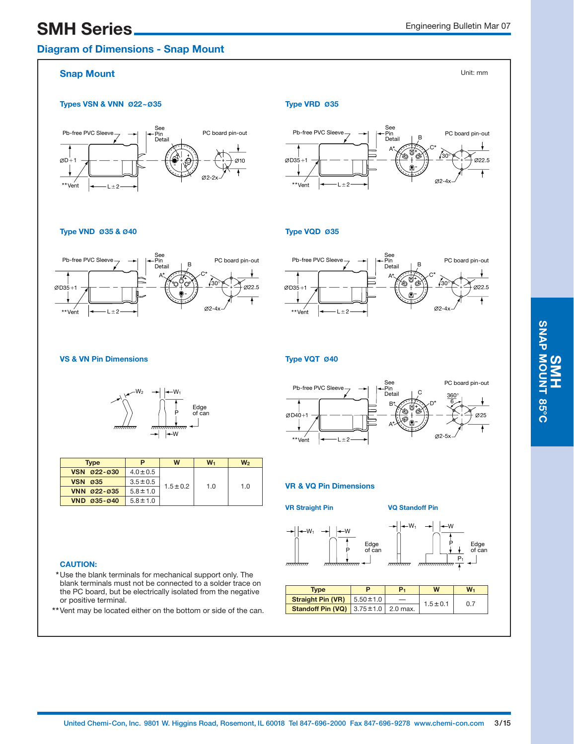## **SMH Series** Engineering Bulletin Mar 07

## **Diagram of Dimensions - Snap Mount**

Unit: mm

### **Snap Mount**

#### **Types VSN & VNN Ø22~035** Type VRD Ø35





#### **Type VND Ø35 & Ø40**

#### A\* Pb-free PVC Sle  $L \pm 2$ See Pin Detail 22.5  $O(2-4)$ PC board pin-out 30°  $C^*$ B D35 1  $***V$



#### **VS & VN Pin Dimensions**



| <b>Type</b>              | P             | W             | $W_1$ | W <sub>2</sub> |  |
|--------------------------|---------------|---------------|-------|----------------|--|
| VSN 022-030              | $4.0 \pm 0.5$ |               |       | 1.0            |  |
| <b>VSN</b><br><b>Ø35</b> | $3.5 \pm 0.5$ | $1.5 \pm 0.2$ | 1.0   |                |  |
| VNN 022-035              | $5.8 \pm 1.0$ |               |       |                |  |
| VND 035-040              | $5.8 \pm 1.0$ |               |       |                |  |

#### **CAUTION:**

- **\***Use the blank terminals for mechanical support only. The blank terminals must not be connected to a solder trace on the PC board, but be electrically isolated from the negative or positive terminal.
- **\*\***Vent may be located either on the bottom or side of the can.

### **Type VQT Ø40**

**Type VQD Ø35**



#### **VR & VQ Pin Dimensions**

**VR Straight Pin VQ Standoff Pin**

 $P_1$ 

Edge of can

W P



 $-W_1$ 



| <b>Type</b>                                        | D | р. | W             | $W_1$ |  |
|----------------------------------------------------|---|----|---------------|-------|--|
| <b>Straight Pin (VR)</b> $\mid 5.50 \pm 1.0$       |   |    | $1.5 \pm 0.1$ | 0.7   |  |
| <b>Standoff Pin (VQ)</b> 3.75 $\pm$ 1.0   2.0 max. |   |    |               |       |  |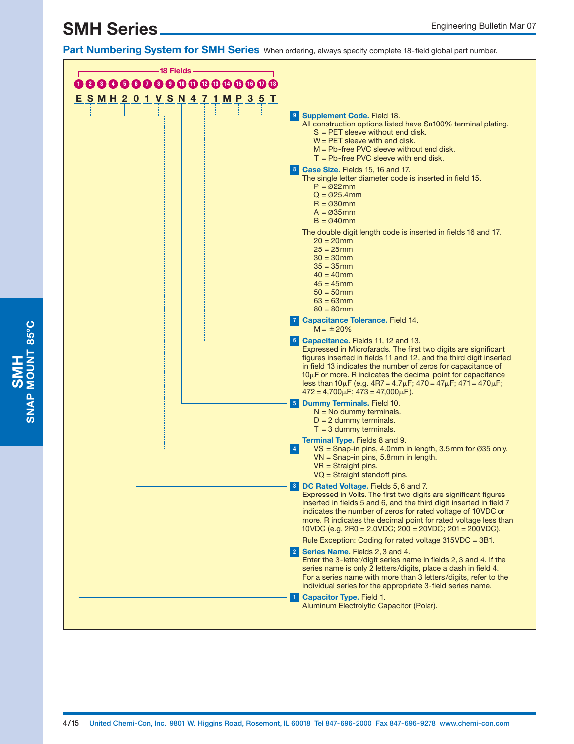**Part Numbering System for SMH Series** When ordering, always specify complete 18-field global part number.



**SMH**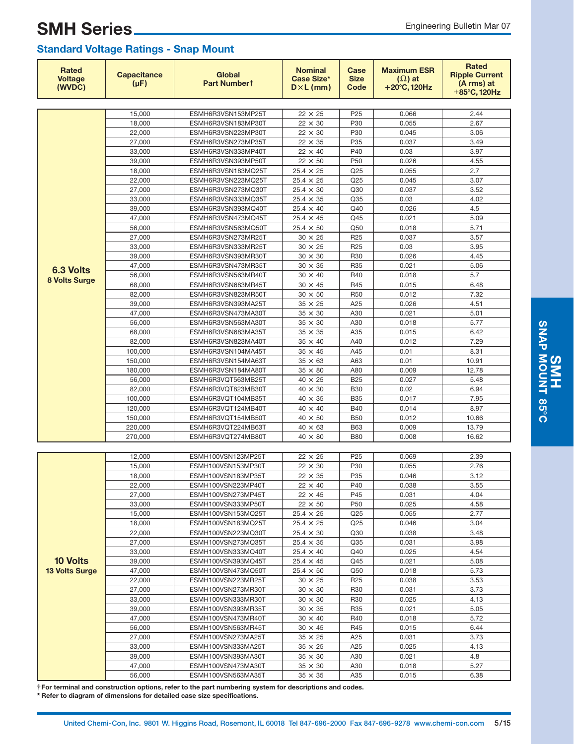## SMH Series <u>Engineering Bulletin Mar 07</u> **Standard Voltage Ratings - Snap Mount**

| <b>Rated</b><br><b>Voltage</b><br>(WVDC) | <b>Capacitance</b><br>$(\mu F)$ | Global<br>Part Numbert                   | <b>Nominal</b><br><b>Case Size*</b><br>$D \times L$ (mm) | Case<br><b>Size</b><br>Code | <b>Maximum ESR</b><br>$(\Omega)$ at<br>$+20^{\circ}$ C, 120Hz | <b>Rated</b><br><b>Ripple Current</b><br>(A rms) at<br>+85°C, 120Hz |
|------------------------------------------|---------------------------------|------------------------------------------|----------------------------------------------------------|-----------------------------|---------------------------------------------------------------|---------------------------------------------------------------------|
|                                          |                                 |                                          |                                                          |                             |                                                               |                                                                     |
|                                          | 15,000                          | ESMH6R3VSN153MP25T                       | $22 \times 25$                                           | P <sub>25</sub>             | 0.066                                                         | 2.44                                                                |
|                                          | 18,000                          | ESMH6R3VSN183MP30T                       | $22 \times 30$                                           | P30                         | 0.055                                                         | 2.67                                                                |
|                                          | 22,000                          | ESMH6R3VSN223MP30T                       | $22 \times 30$                                           | P30                         | 0.045                                                         | 3.06                                                                |
|                                          | 27,000                          | ESMH6R3VSN273MP35T                       | $22 \times 35$                                           | P35                         | 0.037                                                         | 3.49                                                                |
|                                          | 33,000<br>39,000                | ESMH6R3VSN333MP40T<br>ESMH6R3VSN393MP50T | $22 \times 40$<br>$22 \times 50$                         | P40<br>P50                  | 0.03<br>0.026                                                 | 3.97<br>4.55                                                        |
|                                          | 18,000                          | ESMH6R3VSN183MQ25T                       | $25.4 \times 25$                                         | Q25                         | 0.055                                                         | 2.7                                                                 |
|                                          | 22,000                          | ESMH6R3VSN223MQ25T                       | $25.4 \times 25$                                         | Q <sub>25</sub>             | 0.045                                                         | 3.07                                                                |
|                                          | 27,000                          | ESMH6R3VSN273MQ30T                       | $25.4 \times 30$                                         | Q30                         | 0.037                                                         | 3.52                                                                |
|                                          | 33,000                          | ESMH6R3VSN333MQ35T                       | $25.4 \times 35$                                         | Q35                         | 0.03                                                          | 4.02                                                                |
|                                          | 39,000                          | ESMH6R3VSN393MQ40T                       | $25.4 \times 40$                                         | Q40                         | 0.026                                                         | 4.5                                                                 |
|                                          | 47,000                          | ESMH6R3VSN473MQ45T                       | $25.4 \times 45$                                         | Q45                         | 0.021                                                         | 5.09                                                                |
|                                          | 56,000                          | ESMH6R3VSN563MQ50T                       | $25.4 \times 50$                                         | Q50                         | 0.018                                                         | 5.71                                                                |
|                                          | 27,000                          | ESMH6R3VSN273MR25T                       | $30 \times 25$                                           | R <sub>25</sub>             | 0.037                                                         | 3.57                                                                |
|                                          | 33,000                          | ESMH6R3VSN333MR25T                       | $30 \times 25$                                           | R <sub>25</sub>             | 0.03                                                          | 3.95                                                                |
|                                          | 39,000                          | ESMH6R3VSN393MR30T                       | $30 \times 30$                                           | R30                         | 0.026                                                         | 4.45                                                                |
| <b>6.3 Volts</b>                         | 47,000                          | ESMH6R3VSN473MR35T                       | $30 \times 35$                                           | R35                         | 0.021                                                         | 5.06                                                                |
| 8 Volts Surge                            | 56,000                          | ESMH6R3VSN563MR40T                       | $30 \times 40$                                           | R40                         | 0.018                                                         | 5.7                                                                 |
|                                          | 68,000                          | ESMH6R3VSN683MR45T                       | $30 \times 45$                                           | R45                         | 0.015                                                         | 6.48                                                                |
|                                          | 82,000                          | ESMH6R3VSN823MR50T                       | $30 \times 50$                                           | <b>R50</b>                  | 0.012                                                         | 7.32                                                                |
|                                          | 39,000                          | ESMH6R3VSN393MA25T                       | $35 \times 25$                                           | A25                         | 0.026                                                         | 4.51                                                                |
|                                          | 47,000                          | ESMH6R3VSN473MA30T                       | $35 \times 30$                                           | A30                         | 0.021                                                         | 5.01                                                                |
|                                          | 56,000                          | ESMH6R3VSN563MA30T                       | $35 \times 30$                                           | A30                         | 0.018                                                         | 5.77                                                                |
|                                          | 68,000                          | ESMH6R3VSN683MA35T                       | $35 \times 35$                                           | A35                         | 0.015                                                         | 6.42                                                                |
|                                          | 82,000<br>100,000               | ESMH6R3VSN823MA40T<br>ESMH6R3VSN104MA45T | $35 \times 40$<br>$35 \times 45$                         | A40<br>A45                  | 0.012<br>0.01                                                 | 7.29<br>8.31                                                        |
|                                          | 150,000                         | ESMH6R3VSN154MA63T                       | $35 \times 63$                                           | A63                         | 0.01                                                          | 10.91                                                               |
|                                          | 180,000                         | ESMH6R3VSN184MA80T                       | $35 \times 80$                                           | A80                         | 0.009                                                         | 12.78                                                               |
|                                          | 56,000                          | ESMH6R3VQT563MB25T                       | $40 \times 25$                                           | <b>B25</b>                  | 0.027                                                         | 5.48                                                                |
|                                          | 82,000                          | ESMH6R3VQT823MB30T                       | $40 \times 30$                                           | <b>B30</b>                  | 0.02                                                          | 6.94                                                                |
|                                          | 100,000                         | ESMH6R3VQT104MB35T                       | $40 \times 35$                                           | <b>B35</b>                  | 0.017                                                         | 7.95                                                                |
|                                          | 120,000                         | ESMH6R3VQT124MB40T                       | $40 \times 40$                                           | <b>B40</b>                  | 0.014                                                         | 8.97                                                                |
|                                          | 150,000                         | ESMH6R3VQT154MB50T                       | $40 \times 50$                                           | <b>B50</b>                  | 0.012                                                         | 10.66                                                               |
|                                          | 220,000                         | ESMH6R3VQT224MB63T                       | $40 \times 63$                                           | <b>B63</b>                  | 0.009                                                         | 13.79                                                               |
|                                          | 270,000                         | ESMH6R3VQT274MB80T                       | $40 \times 80$                                           | <b>B80</b>                  | 0.008                                                         | 16.62                                                               |
|                                          |                                 |                                          |                                                          |                             |                                                               |                                                                     |
|                                          | 12,000                          | ESMH100VSN123MP25T                       | $22 \times 25$                                           | P <sub>25</sub>             | 0.069                                                         | 2.39                                                                |
|                                          | 15,000                          | ESMH100VSN153MP30T                       | $22 \times 30$                                           | P30                         | 0.055                                                         | 2.76                                                                |
|                                          | 18,000                          | ESMH100VSN183MP35T                       | $22 \times 35$                                           | P35                         | 0.046                                                         | 3.12                                                                |
|                                          | 22,000                          | ESMH100VSN223MP40T                       | $22 \times 40$                                           | P40                         | 0.038                                                         | 3.55                                                                |
|                                          | 27,000                          | ESMH100VSN273MP45T                       | $22 \times 45$                                           | P45                         | 0.031                                                         | 4.04                                                                |
|                                          | 33,000<br>15,000                | ESMH100VSN333MP50T<br>ESMH100VSN153MQ25T | $22 \times 50$<br>$25.4 \times 25$                       | P50<br>Q25                  | 0.025<br>0.055                                                | 4.58<br>2.77                                                        |
|                                          | 18,000                          | ESMH100VSN183MQ25T                       | $25.4 \times 25$                                         | Q <sub>25</sub>             | 0.046                                                         | 3.04                                                                |
|                                          | 22,000                          | ESMH100VSN223MQ30T                       | $25.4 \times 30$                                         | Q30                         | 0.038                                                         | 3.48                                                                |
|                                          | 27,000                          | ESMH100VSN273MQ35T                       | $25.4 \times 35$                                         | Q35                         | 0.031                                                         | 3.98                                                                |
|                                          | 33,000                          | ESMH100VSN333MQ40T                       | $25.4 \times 40$                                         | Q40                         | 0.025                                                         | 4.54                                                                |
| <b>10 Volts</b>                          | 39,000                          | ESMH100VSN393MQ45T                       | $25.4 \times 45$                                         | Q45                         | 0.021                                                         | 5.08                                                                |
| <b>13 Volts Surge</b>                    | 47,000                          | ESMH100VSN473MQ50T                       | $25.4 \times 50$                                         | Q50                         | 0.018                                                         | 5.73                                                                |
|                                          | 22,000                          | ESMH100VSN223MR25T                       | $30 \times 25$                                           | R <sub>25</sub>             | 0.038                                                         | 3.53                                                                |
|                                          | 27,000                          | ESMH100VSN273MR30T                       | $30 \times 30$                                           | R30                         | 0.031                                                         | 3.73                                                                |
|                                          | 33,000                          | ESMH100VSN333MR30T                       | $30 \times 30$                                           | R30                         | 0.025                                                         | 4.13                                                                |
|                                          | 39,000                          | ESMH100VSN393MR35T                       | $30 \times 35$                                           | R35                         | 0.021                                                         | 5.05                                                                |
|                                          | 47,000                          | ESMH100VSN473MR40T                       | $30 \times 40$                                           | R40                         | 0.018                                                         | 5.72                                                                |
|                                          | 56,000                          | ESMH100VSN563MR45T                       | $30 \times 45$                                           | R45                         | 0.015                                                         | 6.44                                                                |
|                                          | 27,000                          | ESMH100VSN273MA25T                       | $35 \times 25$                                           | A25                         | 0.031                                                         | 3.73                                                                |
|                                          | 33,000                          | ESMH100VSN333MA25T                       | $35 \times 25$                                           | A25                         | 0.025                                                         | 4.13                                                                |
|                                          | 39,000                          | ESMH100VSN393MA30T                       | $35 \times 30$                                           | A30                         | 0.021                                                         | 4.8                                                                 |
|                                          | 47,000<br>56,000                | ESMH100VSN473MA30T<br>ESMH100VSN563MA35T | $35 \times 30$<br>$35 \times 35$                         | A30<br>A35                  | 0.018                                                         | 5.27<br>6.38                                                        |
|                                          |                                 |                                          |                                                          |                             | 0.015                                                         |                                                                     |

**†For terminal and construction options, refer to the part numbering system for descriptions and codes.**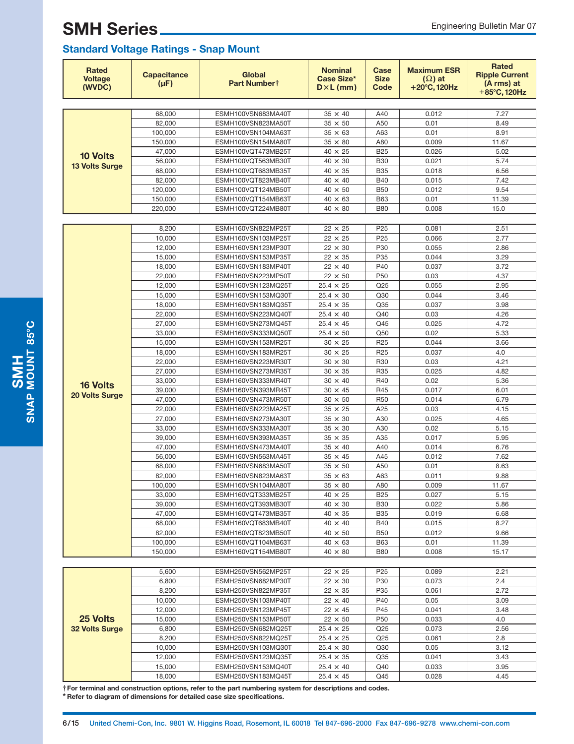## **Standard Voltage Ratings - Snap Mount**

| <b>Rated</b><br><b>Voltage</b><br>(WVDC) | <b>Capacitance</b><br>$(\mu F)$ | Global<br>Part Numbert                   | <b>Nominal</b><br>Case Size*<br>$D \times L$ (mm) | Case<br><b>Size</b><br>Code | <b>Maximum ESR</b><br>$(\Omega)$ at<br>$+20^{\circ}$ C, 120Hz | <b>Rated</b><br><b>Ripple Current</b><br>(A rms) at<br>+85°C, 120Hz |  |  |  |
|------------------------------------------|---------------------------------|------------------------------------------|---------------------------------------------------|-----------------------------|---------------------------------------------------------------|---------------------------------------------------------------------|--|--|--|
|                                          |                                 |                                          |                                                   |                             |                                                               |                                                                     |  |  |  |
|                                          | 68,000                          | ESMH100VSN683MA40T                       | $35 \times 40$                                    | A40                         | 0.012                                                         | 7.27                                                                |  |  |  |
|                                          | 82,000                          | ESMH100VSN823MA50T                       | $35 \times 50$                                    | A50                         | 0.01                                                          | 8.49                                                                |  |  |  |
|                                          | 100,000                         | ESMH100VSN104MA63T                       | $35 \times 63$                                    | A63                         | 0.01                                                          | 8.91                                                                |  |  |  |
|                                          | 150,000                         | ESMH100VSN154MA80T                       | $35 \times 80$                                    | A80                         | 0.009                                                         | 11.67                                                               |  |  |  |
| <b>10 Volts</b>                          | 47,000<br>56,000                | ESMH100VQT473MB25T                       | $40 \times 25$<br>$40 \times 30$                  | <b>B25</b><br><b>B30</b>    | 0.026<br>0.021                                                | 5.02<br>5.74                                                        |  |  |  |
| <b>13 Volts Surge</b>                    | 68,000                          | ESMH100VQT563MB30T<br>ESMH100VQT683MB35T | $40 \times 35$                                    | <b>B35</b>                  | 0.018                                                         | 6.56                                                                |  |  |  |
|                                          | 82,000                          | ESMH100VQT823MB40T                       | $40 \times 40$                                    | <b>B40</b>                  | 0.015                                                         | 7.42                                                                |  |  |  |
|                                          | 120,000                         | ESMH100VQT124MB50T                       | $40 \times 50$                                    | <b>B50</b>                  | 0.012                                                         | 9.54                                                                |  |  |  |
|                                          | 150,000                         | ESMH100VQT154MB63T                       | $40 \times 63$                                    | <b>B63</b>                  | 0.01                                                          | 11.39                                                               |  |  |  |
|                                          | 220,000                         | ESMH100VQT224MB80T                       | $40 \times 80$                                    | <b>B80</b>                  | 0.008                                                         | 15.0                                                                |  |  |  |
|                                          |                                 |                                          |                                                   |                             |                                                               |                                                                     |  |  |  |
|                                          | 8,200                           | ESMH160VSN822MP25T                       | $22 \times 25$                                    | P <sub>25</sub>             | 0.081                                                         | 2.51                                                                |  |  |  |
|                                          | 10,000                          | ESMH160VSN103MP25T                       | $22 \times 25$                                    | P <sub>25</sub>             | 0.066                                                         | 2.77                                                                |  |  |  |
|                                          | 12,000                          | ESMH160VSN123MP30T                       | $22 \times 30$                                    | P30                         | 0.055                                                         | 2.86                                                                |  |  |  |
|                                          | 15,000                          | ESMH160VSN153MP35T                       | $22 \times 35$                                    | P35                         | 0.044                                                         | 3.29                                                                |  |  |  |
|                                          | 18,000                          | ESMH160VSN183MP40T                       | $22 \times 40$                                    | P40                         | 0.037                                                         | 3.72                                                                |  |  |  |
|                                          | 22,000                          | ESMH160VSN223MP50T                       | $22 \times 50$                                    | P <sub>50</sub>             | 0.03                                                          | 4.37                                                                |  |  |  |
|                                          | 12,000                          | ESMH160VSN123MQ25T                       | $25.4 \times 25$                                  | Q <sub>25</sub>             | 0.055                                                         | 2.95                                                                |  |  |  |
|                                          | 15,000                          | ESMH160VSN153MQ30T                       | $25.4 \times 30$                                  | Q30                         | 0.044                                                         | 3.46                                                                |  |  |  |
|                                          | 18,000                          | ESMH160VSN183MQ35T                       | $25.4 \times 35$                                  | Q35                         | 0.037                                                         | 3.98                                                                |  |  |  |
|                                          | 22.000                          | ESMH160VSN223MQ40T                       | $25.4 \times 40$                                  | Q40                         | 0.03                                                          | 4.26                                                                |  |  |  |
|                                          | 27,000                          | ESMH160VSN273MQ45T<br>ESMH160VSN333MQ50T | $25.4 \times 45$                                  | Q45<br>Q50                  | 0.025<br>0.02                                                 | 4.72                                                                |  |  |  |
|                                          | 33,000<br>15,000                | ESMH160VSN153MR25T                       | $25.4 \times 50$<br>$30 \times 25$                | R <sub>25</sub>             | 0.044                                                         | 5.33<br>3.66                                                        |  |  |  |
|                                          | 18,000                          | ESMH160VSN183MR25T                       | $30 \times 25$                                    | R <sub>25</sub>             | 0.037                                                         | 4.0                                                                 |  |  |  |
|                                          | 22,000                          | ESMH160VSN223MR30T                       | $30 \times 30$                                    | R30                         | 0.03                                                          | 4.21                                                                |  |  |  |
|                                          | 27,000                          | ESMH160VSN273MR35T                       | $30 \times 35$                                    | R35                         | 0.025                                                         | 4.82                                                                |  |  |  |
|                                          | 33,000                          | ESMH160VSN333MR40T                       | $30 \times 40$                                    | R40                         | 0.02                                                          | 5.36                                                                |  |  |  |
| <b>16 Volts</b>                          | 39,000                          | ESMH160VSN393MR45T                       | $30 \times 45$                                    | R45                         | 0.017                                                         | 6.01                                                                |  |  |  |
| 20 Volts Surge                           | 47,000                          | ESMH160VSN473MR50T                       | $30 \times 50$                                    | <b>R50</b>                  | 0.014                                                         | 6.79                                                                |  |  |  |
|                                          | 22,000                          | ESMH160VSN223MA25T                       | $35 \times 25$                                    | A25                         | 0.03                                                          | 4.15                                                                |  |  |  |
|                                          | 27,000                          | ESMH160VSN273MA30T                       | $35 \times 30$                                    | A30                         | 0.025                                                         | 4.65                                                                |  |  |  |
|                                          | 33,000                          | ESMH160VSN333MA30T                       | $35 \times 30$                                    | A30                         | 0.02                                                          | 5.15                                                                |  |  |  |
|                                          | 39,000                          | ESMH160VSN393MA35T                       | $35 \times 35$                                    | A35                         | 0.017                                                         | 5.95                                                                |  |  |  |
|                                          | 47,000                          | ESMH160VSN473MA40T                       | $35 \times 40$                                    | A40                         | 0.014                                                         | 6.76                                                                |  |  |  |
|                                          | 56,000                          | ESMH160VSN563MA45T                       | $35 \times 45$                                    | A45                         | 0.012                                                         | 7.62                                                                |  |  |  |
|                                          | 68,000                          | ESMH160VSN683MA50T                       | $35 \times 50$                                    | A50                         | 0.01                                                          | 8.63                                                                |  |  |  |
|                                          | 82,000<br>100,000               | ESMH160VSN823MA63T                       | $35 \times 63$<br>$35 \times 80$                  | A63<br>A80                  | 0.011<br>0.009                                                | 9.88<br>11.67                                                       |  |  |  |
|                                          | 33,000                          | ESMH160VSN104MA80T<br>ESMH160VQT333MB25T | $40 \times 25$                                    | <b>B25</b>                  | 0.027                                                         | 5.15                                                                |  |  |  |
|                                          | 39,000                          | ESMH160VQT393MB30T                       | $40 \times 30$                                    | <b>B30</b>                  | 0.022                                                         | 5.86                                                                |  |  |  |
|                                          | 47,000                          | ESMH160VQT473MB35T                       | $40 \times 35$                                    | <b>B35</b>                  | 0.019                                                         | 6.68                                                                |  |  |  |
|                                          | 68,000                          | ESMH160VQT683MB40T                       | $40 \times 40$                                    | <b>B40</b>                  | 0.015                                                         | 8.27                                                                |  |  |  |
|                                          | 82,000                          | ESMH160VQT823MB50T                       | $40 \times 50$                                    | <b>B50</b>                  | 0.012                                                         | 9.66                                                                |  |  |  |
|                                          | 100,000                         | ESMH160VQT104MB63T                       | $40 \times 63$                                    | <b>B63</b>                  | 0.01                                                          | 11.39                                                               |  |  |  |
|                                          | 150,000                         | ESMH160VQT154MB80T                       | $40 \times 80$                                    | <b>B80</b>                  | 0.008                                                         | 15.17                                                               |  |  |  |
|                                          |                                 |                                          |                                                   |                             |                                                               |                                                                     |  |  |  |
|                                          | 5,600                           | ESMH250VSN562MP25T                       | $22 \times 25$                                    | P <sub>25</sub>             | 0.089                                                         | 2.21                                                                |  |  |  |
|                                          | 6,800                           | ESMH250VSN682MP30T                       | $22 \times 30$                                    | P30                         | 0.073                                                         | 2.4                                                                 |  |  |  |
|                                          | 8,200                           | ESMH250VSN822MP35T                       | $22 \times 35$                                    | P35                         | 0.061                                                         | 2.72                                                                |  |  |  |
|                                          | 10,000                          | ESMH250VSN103MP40T                       | $22 \times 40$                                    | P40                         | 0.05                                                          | 3.09                                                                |  |  |  |
|                                          | 12,000                          | ESMH250VSN123MP45T                       | $22 \times 45$                                    | P45                         | 0.041                                                         | 3.48                                                                |  |  |  |
| 25 Volts                                 | 15,000                          | ESMH250VSN153MP50T                       | $22 \times 50$                                    | P <sub>50</sub>             | 0.033                                                         | 4.0                                                                 |  |  |  |
| 32 Volts Surge                           | 6,800                           | ESMH250VSN682MQ25T                       | $25.4 \times 25$                                  | Q <sub>25</sub>             | 0.073                                                         | 2.56<br>2.8                                                         |  |  |  |
|                                          | 8,200<br>10,000                 | ESMH250VSN822MQ25T<br>ESMH250VSN103MQ30T | $25.4 \times 25$<br>$25.4 \times 30$              | Q <sub>25</sub><br>Q30      | 0.061<br>0.05                                                 | 3.12                                                                |  |  |  |
|                                          | 12,000                          | ESMH250VSN123MQ35T                       | $25.4 \times 35$                                  | Q35                         | 0.041                                                         | 3.43                                                                |  |  |  |
|                                          | 15,000                          | ESMH250VSN153MQ40T                       | $25.4 \times 40$                                  | Q40                         | 0.033                                                         | 3.95                                                                |  |  |  |
|                                          | 18,000                          | ESMH250VSN183MQ45T                       | $25.4 \times 45$                                  | Q45                         | 0.028                                                         | 4.45                                                                |  |  |  |

**†For terminal and construction options, refer to the part numbering system for descriptions and codes. \* Refer to diagram of dimensions for detailed case size specifications.**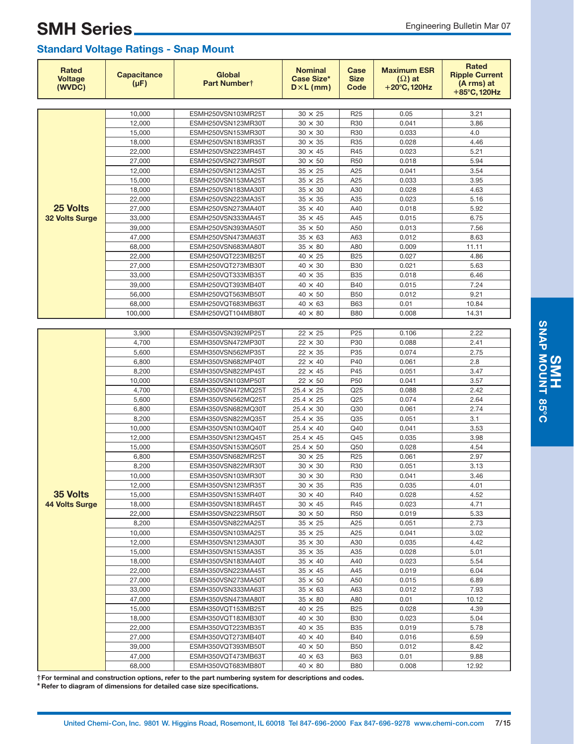| 10,000<br>ESMH250VSN103MR25T<br>$30 \times 25$<br>0.05<br>R <sub>25</sub><br>3.21<br>12,000<br>ESMH250VSN123MR30T<br>$30 \times 30$<br>R30<br>0.041<br>3.86<br>15,000<br>$30 \times 30$<br>R30<br>0.033<br>4.0<br>ESMH250VSN153MR30T<br>4.46<br>18,000<br>$30 \times 35$<br>R35<br>0.028<br>ESMH250VSN183MR35T<br>22,000<br>ESMH250VSN223MR45T<br>$30 \times 45$<br>R45<br>0.023<br>5.21<br>27,000<br>$30 \times 50$<br><b>R50</b><br>0.018<br>5.94<br>ESMH250VSN273MR50T<br>3.54<br>12.000<br>$35 \times 25$<br>A25<br>0.041<br>ESMH250VSN123MA25T<br>ESMH250VSN153MA25T<br>$35 \times 25$<br>A25<br>0.033<br>3.95<br>15,000<br>18,000<br>$35 \times 30$<br>A30<br>0.028<br>4.63<br>ESMH250VSN183MA30T<br>5.16<br>22,000<br>$35 \times 35$<br>A35<br>0.023<br>ESMH250VSN223MA35T<br>25 Volts<br>27,000<br>ESMH250VSN273MA40T<br>$35 \times 40$<br>A40<br>0.018<br>5.92<br>33,000<br>$35 \times 45$<br>A45<br>0.015<br>6.75<br><b>32 Volts Surge</b><br>ESMH250VSN333MA45T<br>7.56<br>39,000<br>$35 \times 50$<br>A50<br>0.013<br>ESMH250VSN393MA50T<br>47,000<br>ESMH250VSN473MA63T<br>$35 \times 63$<br>A63<br>0.012<br>8.63<br>68,000<br>$35 \times 80$<br>A80<br>0.009<br>11.11<br>ESMH250VSN683MA80T<br>22,000<br>$40 \times 25$<br><b>B25</b><br>0.027<br>4.86<br>ESMH250VQT223MB25T<br>27,000<br>$40 \times 30$<br><b>B30</b><br>0.021<br>5.63<br>ESMH250VQT273MB30T<br>33,000<br>$40 \times 35$<br><b>B35</b><br>0.018<br>6.46<br>ESMH250VQT333MB35T<br>7.24<br>39,000<br>$40 \times 40$<br><b>B40</b><br>0.015<br>ESMH250VQT393MB40T<br>56,000<br>ESMH250VQT563MB50T<br>$40 \times 50$<br><b>B50</b><br>0.012<br>9.21<br>68,000<br>ESMH250VQT683MB63T<br>$40 \times 63$<br><b>B63</b><br>0.01<br>10.84<br>100,000<br>$40 \times 80$<br>0.008<br>14.31<br>ESMH250VQT104MB80T<br><b>B80</b><br>$22 \times 25$<br>2.22<br>3,900<br>ESMH350VSN392MP25T<br>P <sub>25</sub><br>0.106<br>4,700<br>P30<br>2.41<br>ESMH350VSN472MP30T<br>$22 \times 30$<br>0.088<br>5,600<br>$22 \times 35$<br>P35<br>0.074<br>2.75<br>ESMH350VSN562MP35T<br>6,800<br>$22 \times 40$<br>P40<br>0.061<br>2.8<br>ESMH350VSN682MP40T<br>8,200<br>ESMH350VSN822MP45T<br>P45<br>0.051<br>3.47<br>$22 \times 45$<br>10,000<br>$22 \times 50$<br>P <sub>50</sub><br>0.041<br>3.57<br>ESMH350VSN103MP50T<br>4,700<br>Q25<br>2.42<br>ESMH350VSN472MQ25T<br>$25.4 \times 25$<br>0.088<br>Q25<br>0.074<br>2.64<br>5,600<br>ESMH350VSN562MQ25T<br>$25.4 \times 25$<br>6,800<br>$25.4 \times 30$<br>Q30<br>0.061<br>2.74<br>ESMH350VSN682MQ30T<br>8,200<br>$25.4 \times 35$<br>Q35<br>0.051<br>3.1<br>ESMH350VSN822MQ35T<br>3.53<br>10.000<br>ESMH350VSN103MQ40T<br>Q40<br>0.041<br>$25.4 \times 40$<br>12,000<br>$25.4 \times 45$<br>Q45<br>0.035<br>3.98<br>ESMH350VSN123MQ45T<br>15,000<br>$25.4 \times 50$<br>Q50<br>0.028<br>4.54<br>ESMH350VSN153MQ50T<br>6,800<br>ESMH350VSN682MR25T<br>$30 \times 25$<br>R <sub>25</sub><br>0.061<br>2.97<br>8,200<br>$30 \times 30$<br>0.051<br>ESMH350VSN822MR30T<br>R <sub>30</sub><br>3.13<br>10,000<br>ESMH350VSN103MR30T<br>$30 \times 30$<br>R30<br>0.041<br>3.46<br><b>R35</b><br>12,000<br>ESMH350VSN123MR35T<br>$30 \times 35$<br>0.035<br>4.01<br>35 Volts<br>15,000<br>ESMH350VSN153MR40T<br>$30 \times 40$<br>0.028<br>4.52<br>R40<br>4.71<br><b>44 Volts Surge</b><br>18,000<br>ESMH350VSN183MR45T<br>$30 \times 45$<br>R45<br>0.023<br>5.33<br>22,000<br>ESMH350VSN223MR50T<br>R <sub>50</sub><br>0.019<br>$30 \times 50$<br>8,200<br>A25<br>0.051<br>2.73<br>ESMH350VSN822MA25T<br>$35 \times 25$<br>3.02<br>10,000<br>ESMH350VSN103MA25T<br>$35 \times 25$<br>A25<br>0.041<br>4.42<br>12,000<br>ESMH350VSN123MA30T<br>A30<br>0.035<br>$35 \times 30$<br>15,000<br>$35 \times 35$<br>0.028<br>5.01<br>ESMH350VSN153MA35T<br>A35<br>$35 \times 40$<br>5.54<br>18,000<br>ESMH350VSN183MA40T<br>A40<br>0.023<br>6.04<br>22,000<br>ESMH350VSN223MA45T<br>$35 \times 45$<br>A45<br>0.019<br>27,000<br>0.015<br>6.89<br>ESMH350VSN273MA50T<br>$35 \times 50$<br>A50<br>7.93<br>33,000<br>ESMH350VSN333MA63T<br>$35 \times 63$<br>A63<br>0.012<br>A80<br>0.01<br>10.12<br>47,000<br>ESMH350VSN473MA80T<br>$35 \times 80$<br>0.028<br>4.39<br>15,000<br>ESMH350VQT153MB25T<br>$40 \times 25$<br><b>B25</b><br>5.04<br>18,000<br>ESMH350VQT183MB30T<br>$40 \times 30$<br><b>B30</b><br>0.023<br>5.78<br>22,000<br>$40 \times 35$<br><b>B35</b><br>0.019<br>ESMH350VQT223MB35T<br>27,000<br>$40 \times 40$<br>0.016<br>6.59<br>ESMH350VQT273MB40T<br><b>B40</b><br>39,000<br>ESMH350VQT393MB50T<br>$40 \times 50$<br><b>B50</b><br>0.012<br>8.42<br>47,000<br><b>B63</b><br>9.88<br>ESMH350VQT473MB63T<br>$40 \times 63$<br>0.01 | <b>Rated</b><br><b>Voltage</b><br>(WVDC) | <b>Capacitance</b><br>$(\mu F)$ | <b>Global</b><br>Part Numbert | <b>Nominal</b><br><b>Case Size*</b><br>$D \times L$ (mm) | Case<br><b>Size</b><br>Code | <b>Maximum ESR</b><br>$(\Omega)$ at<br>$+20^{\circ}$ C, 120Hz | <b>Rated</b><br><b>Ripple Current</b><br>(A rms) at<br>$+85^{\circ}$ C, 120Hz |
|---------------------------------------------------------------------------------------------------------------------------------------------------------------------------------------------------------------------------------------------------------------------------------------------------------------------------------------------------------------------------------------------------------------------------------------------------------------------------------------------------------------------------------------------------------------------------------------------------------------------------------------------------------------------------------------------------------------------------------------------------------------------------------------------------------------------------------------------------------------------------------------------------------------------------------------------------------------------------------------------------------------------------------------------------------------------------------------------------------------------------------------------------------------------------------------------------------------------------------------------------------------------------------------------------------------------------------------------------------------------------------------------------------------------------------------------------------------------------------------------------------------------------------------------------------------------------------------------------------------------------------------------------------------------------------------------------------------------------------------------------------------------------------------------------------------------------------------------------------------------------------------------------------------------------------------------------------------------------------------------------------------------------------------------------------------------------------------------------------------------------------------------------------------------------------------------------------------------------------------------------------------------------------------------------------------------------------------------------------------------------------------------------------------------------------------------------------------------------------------------------------------------------------------------------------------------------------------------------------------------------------------------------------------------------------------------------------------------------------------------------------------------------------------------------------------------------------------------------------------------------------------------------------------------------------------------------------------------------------------------------------------------------------------------------------------------------------------------------------------------------------------------------------------------------------------------------------------------------------------------------------------------------------------------------------------------------------------------------------------------------------------------------------------------------------------------------------------------------------------------------------------------------------------------------------------------------------------------------------------------------------------------------------------------------------------------------------------------------------------------------------------------------------------------------------------------------------------------------------------------------------------------------------------------------------------------------------------------------------------------------------------------------------------------------------------------------------------------------------------------------------------------------------------------------------------------------------------------------------------------------------------------------------------------------------------------------------------------------------------------------------------------------------------------------------------------------------------------------------------------------------------------------------------------------------------------------------------------------------------------------------------------------|------------------------------------------|---------------------------------|-------------------------------|----------------------------------------------------------|-----------------------------|---------------------------------------------------------------|-------------------------------------------------------------------------------|
|                                                                                                                                                                                                                                                                                                                                                                                                                                                                                                                                                                                                                                                                                                                                                                                                                                                                                                                                                                                                                                                                                                                                                                                                                                                                                                                                                                                                                                                                                                                                                                                                                                                                                                                                                                                                                                                                                                                                                                                                                                                                                                                                                                                                                                                                                                                                                                                                                                                                                                                                                                                                                                                                                                                                                                                                                                                                                                                                                                                                                                                                                                                                                                                                                                                                                                                                                                                                                                                                                                                                                                                                                                                                                                                                                                                                                                                                                                                                                                                                                                                                                                                                                                                                                                                                                                                                                                                                                                                                                                                                                                                                                                                   |                                          |                                 |                               |                                                          |                             |                                                               |                                                                               |
|                                                                                                                                                                                                                                                                                                                                                                                                                                                                                                                                                                                                                                                                                                                                                                                                                                                                                                                                                                                                                                                                                                                                                                                                                                                                                                                                                                                                                                                                                                                                                                                                                                                                                                                                                                                                                                                                                                                                                                                                                                                                                                                                                                                                                                                                                                                                                                                                                                                                                                                                                                                                                                                                                                                                                                                                                                                                                                                                                                                                                                                                                                                                                                                                                                                                                                                                                                                                                                                                                                                                                                                                                                                                                                                                                                                                                                                                                                                                                                                                                                                                                                                                                                                                                                                                                                                                                                                                                                                                                                                                                                                                                                                   |                                          |                                 |                               |                                                          |                             |                                                               |                                                                               |
|                                                                                                                                                                                                                                                                                                                                                                                                                                                                                                                                                                                                                                                                                                                                                                                                                                                                                                                                                                                                                                                                                                                                                                                                                                                                                                                                                                                                                                                                                                                                                                                                                                                                                                                                                                                                                                                                                                                                                                                                                                                                                                                                                                                                                                                                                                                                                                                                                                                                                                                                                                                                                                                                                                                                                                                                                                                                                                                                                                                                                                                                                                                                                                                                                                                                                                                                                                                                                                                                                                                                                                                                                                                                                                                                                                                                                                                                                                                                                                                                                                                                                                                                                                                                                                                                                                                                                                                                                                                                                                                                                                                                                                                   |                                          |                                 |                               |                                                          |                             |                                                               |                                                                               |
|                                                                                                                                                                                                                                                                                                                                                                                                                                                                                                                                                                                                                                                                                                                                                                                                                                                                                                                                                                                                                                                                                                                                                                                                                                                                                                                                                                                                                                                                                                                                                                                                                                                                                                                                                                                                                                                                                                                                                                                                                                                                                                                                                                                                                                                                                                                                                                                                                                                                                                                                                                                                                                                                                                                                                                                                                                                                                                                                                                                                                                                                                                                                                                                                                                                                                                                                                                                                                                                                                                                                                                                                                                                                                                                                                                                                                                                                                                                                                                                                                                                                                                                                                                                                                                                                                                                                                                                                                                                                                                                                                                                                                                                   |                                          |                                 |                               |                                                          |                             |                                                               |                                                                               |
|                                                                                                                                                                                                                                                                                                                                                                                                                                                                                                                                                                                                                                                                                                                                                                                                                                                                                                                                                                                                                                                                                                                                                                                                                                                                                                                                                                                                                                                                                                                                                                                                                                                                                                                                                                                                                                                                                                                                                                                                                                                                                                                                                                                                                                                                                                                                                                                                                                                                                                                                                                                                                                                                                                                                                                                                                                                                                                                                                                                                                                                                                                                                                                                                                                                                                                                                                                                                                                                                                                                                                                                                                                                                                                                                                                                                                                                                                                                                                                                                                                                                                                                                                                                                                                                                                                                                                                                                                                                                                                                                                                                                                                                   |                                          |                                 |                               |                                                          |                             |                                                               |                                                                               |
|                                                                                                                                                                                                                                                                                                                                                                                                                                                                                                                                                                                                                                                                                                                                                                                                                                                                                                                                                                                                                                                                                                                                                                                                                                                                                                                                                                                                                                                                                                                                                                                                                                                                                                                                                                                                                                                                                                                                                                                                                                                                                                                                                                                                                                                                                                                                                                                                                                                                                                                                                                                                                                                                                                                                                                                                                                                                                                                                                                                                                                                                                                                                                                                                                                                                                                                                                                                                                                                                                                                                                                                                                                                                                                                                                                                                                                                                                                                                                                                                                                                                                                                                                                                                                                                                                                                                                                                                                                                                                                                                                                                                                                                   |                                          |                                 |                               |                                                          |                             |                                                               |                                                                               |
|                                                                                                                                                                                                                                                                                                                                                                                                                                                                                                                                                                                                                                                                                                                                                                                                                                                                                                                                                                                                                                                                                                                                                                                                                                                                                                                                                                                                                                                                                                                                                                                                                                                                                                                                                                                                                                                                                                                                                                                                                                                                                                                                                                                                                                                                                                                                                                                                                                                                                                                                                                                                                                                                                                                                                                                                                                                                                                                                                                                                                                                                                                                                                                                                                                                                                                                                                                                                                                                                                                                                                                                                                                                                                                                                                                                                                                                                                                                                                                                                                                                                                                                                                                                                                                                                                                                                                                                                                                                                                                                                                                                                                                                   |                                          |                                 |                               |                                                          |                             |                                                               |                                                                               |
|                                                                                                                                                                                                                                                                                                                                                                                                                                                                                                                                                                                                                                                                                                                                                                                                                                                                                                                                                                                                                                                                                                                                                                                                                                                                                                                                                                                                                                                                                                                                                                                                                                                                                                                                                                                                                                                                                                                                                                                                                                                                                                                                                                                                                                                                                                                                                                                                                                                                                                                                                                                                                                                                                                                                                                                                                                                                                                                                                                                                                                                                                                                                                                                                                                                                                                                                                                                                                                                                                                                                                                                                                                                                                                                                                                                                                                                                                                                                                                                                                                                                                                                                                                                                                                                                                                                                                                                                                                                                                                                                                                                                                                                   |                                          |                                 |                               |                                                          |                             |                                                               |                                                                               |
|                                                                                                                                                                                                                                                                                                                                                                                                                                                                                                                                                                                                                                                                                                                                                                                                                                                                                                                                                                                                                                                                                                                                                                                                                                                                                                                                                                                                                                                                                                                                                                                                                                                                                                                                                                                                                                                                                                                                                                                                                                                                                                                                                                                                                                                                                                                                                                                                                                                                                                                                                                                                                                                                                                                                                                                                                                                                                                                                                                                                                                                                                                                                                                                                                                                                                                                                                                                                                                                                                                                                                                                                                                                                                                                                                                                                                                                                                                                                                                                                                                                                                                                                                                                                                                                                                                                                                                                                                                                                                                                                                                                                                                                   |                                          |                                 |                               |                                                          |                             |                                                               |                                                                               |
|                                                                                                                                                                                                                                                                                                                                                                                                                                                                                                                                                                                                                                                                                                                                                                                                                                                                                                                                                                                                                                                                                                                                                                                                                                                                                                                                                                                                                                                                                                                                                                                                                                                                                                                                                                                                                                                                                                                                                                                                                                                                                                                                                                                                                                                                                                                                                                                                                                                                                                                                                                                                                                                                                                                                                                                                                                                                                                                                                                                                                                                                                                                                                                                                                                                                                                                                                                                                                                                                                                                                                                                                                                                                                                                                                                                                                                                                                                                                                                                                                                                                                                                                                                                                                                                                                                                                                                                                                                                                                                                                                                                                                                                   |                                          |                                 |                               |                                                          |                             |                                                               |                                                                               |
|                                                                                                                                                                                                                                                                                                                                                                                                                                                                                                                                                                                                                                                                                                                                                                                                                                                                                                                                                                                                                                                                                                                                                                                                                                                                                                                                                                                                                                                                                                                                                                                                                                                                                                                                                                                                                                                                                                                                                                                                                                                                                                                                                                                                                                                                                                                                                                                                                                                                                                                                                                                                                                                                                                                                                                                                                                                                                                                                                                                                                                                                                                                                                                                                                                                                                                                                                                                                                                                                                                                                                                                                                                                                                                                                                                                                                                                                                                                                                                                                                                                                                                                                                                                                                                                                                                                                                                                                                                                                                                                                                                                                                                                   |                                          |                                 |                               |                                                          |                             |                                                               |                                                                               |
|                                                                                                                                                                                                                                                                                                                                                                                                                                                                                                                                                                                                                                                                                                                                                                                                                                                                                                                                                                                                                                                                                                                                                                                                                                                                                                                                                                                                                                                                                                                                                                                                                                                                                                                                                                                                                                                                                                                                                                                                                                                                                                                                                                                                                                                                                                                                                                                                                                                                                                                                                                                                                                                                                                                                                                                                                                                                                                                                                                                                                                                                                                                                                                                                                                                                                                                                                                                                                                                                                                                                                                                                                                                                                                                                                                                                                                                                                                                                                                                                                                                                                                                                                                                                                                                                                                                                                                                                                                                                                                                                                                                                                                                   |                                          |                                 |                               |                                                          |                             |                                                               |                                                                               |
|                                                                                                                                                                                                                                                                                                                                                                                                                                                                                                                                                                                                                                                                                                                                                                                                                                                                                                                                                                                                                                                                                                                                                                                                                                                                                                                                                                                                                                                                                                                                                                                                                                                                                                                                                                                                                                                                                                                                                                                                                                                                                                                                                                                                                                                                                                                                                                                                                                                                                                                                                                                                                                                                                                                                                                                                                                                                                                                                                                                                                                                                                                                                                                                                                                                                                                                                                                                                                                                                                                                                                                                                                                                                                                                                                                                                                                                                                                                                                                                                                                                                                                                                                                                                                                                                                                                                                                                                                                                                                                                                                                                                                                                   |                                          |                                 |                               |                                                          |                             |                                                               |                                                                               |
|                                                                                                                                                                                                                                                                                                                                                                                                                                                                                                                                                                                                                                                                                                                                                                                                                                                                                                                                                                                                                                                                                                                                                                                                                                                                                                                                                                                                                                                                                                                                                                                                                                                                                                                                                                                                                                                                                                                                                                                                                                                                                                                                                                                                                                                                                                                                                                                                                                                                                                                                                                                                                                                                                                                                                                                                                                                                                                                                                                                                                                                                                                                                                                                                                                                                                                                                                                                                                                                                                                                                                                                                                                                                                                                                                                                                                                                                                                                                                                                                                                                                                                                                                                                                                                                                                                                                                                                                                                                                                                                                                                                                                                                   |                                          |                                 |                               |                                                          |                             |                                                               |                                                                               |
|                                                                                                                                                                                                                                                                                                                                                                                                                                                                                                                                                                                                                                                                                                                                                                                                                                                                                                                                                                                                                                                                                                                                                                                                                                                                                                                                                                                                                                                                                                                                                                                                                                                                                                                                                                                                                                                                                                                                                                                                                                                                                                                                                                                                                                                                                                                                                                                                                                                                                                                                                                                                                                                                                                                                                                                                                                                                                                                                                                                                                                                                                                                                                                                                                                                                                                                                                                                                                                                                                                                                                                                                                                                                                                                                                                                                                                                                                                                                                                                                                                                                                                                                                                                                                                                                                                                                                                                                                                                                                                                                                                                                                                                   |                                          |                                 |                               |                                                          |                             |                                                               |                                                                               |
|                                                                                                                                                                                                                                                                                                                                                                                                                                                                                                                                                                                                                                                                                                                                                                                                                                                                                                                                                                                                                                                                                                                                                                                                                                                                                                                                                                                                                                                                                                                                                                                                                                                                                                                                                                                                                                                                                                                                                                                                                                                                                                                                                                                                                                                                                                                                                                                                                                                                                                                                                                                                                                                                                                                                                                                                                                                                                                                                                                                                                                                                                                                                                                                                                                                                                                                                                                                                                                                                                                                                                                                                                                                                                                                                                                                                                                                                                                                                                                                                                                                                                                                                                                                                                                                                                                                                                                                                                                                                                                                                                                                                                                                   |                                          |                                 |                               |                                                          |                             |                                                               |                                                                               |
|                                                                                                                                                                                                                                                                                                                                                                                                                                                                                                                                                                                                                                                                                                                                                                                                                                                                                                                                                                                                                                                                                                                                                                                                                                                                                                                                                                                                                                                                                                                                                                                                                                                                                                                                                                                                                                                                                                                                                                                                                                                                                                                                                                                                                                                                                                                                                                                                                                                                                                                                                                                                                                                                                                                                                                                                                                                                                                                                                                                                                                                                                                                                                                                                                                                                                                                                                                                                                                                                                                                                                                                                                                                                                                                                                                                                                                                                                                                                                                                                                                                                                                                                                                                                                                                                                                                                                                                                                                                                                                                                                                                                                                                   |                                          |                                 |                               |                                                          |                             |                                                               |                                                                               |
|                                                                                                                                                                                                                                                                                                                                                                                                                                                                                                                                                                                                                                                                                                                                                                                                                                                                                                                                                                                                                                                                                                                                                                                                                                                                                                                                                                                                                                                                                                                                                                                                                                                                                                                                                                                                                                                                                                                                                                                                                                                                                                                                                                                                                                                                                                                                                                                                                                                                                                                                                                                                                                                                                                                                                                                                                                                                                                                                                                                                                                                                                                                                                                                                                                                                                                                                                                                                                                                                                                                                                                                                                                                                                                                                                                                                                                                                                                                                                                                                                                                                                                                                                                                                                                                                                                                                                                                                                                                                                                                                                                                                                                                   |                                          |                                 |                               |                                                          |                             |                                                               |                                                                               |
|                                                                                                                                                                                                                                                                                                                                                                                                                                                                                                                                                                                                                                                                                                                                                                                                                                                                                                                                                                                                                                                                                                                                                                                                                                                                                                                                                                                                                                                                                                                                                                                                                                                                                                                                                                                                                                                                                                                                                                                                                                                                                                                                                                                                                                                                                                                                                                                                                                                                                                                                                                                                                                                                                                                                                                                                                                                                                                                                                                                                                                                                                                                                                                                                                                                                                                                                                                                                                                                                                                                                                                                                                                                                                                                                                                                                                                                                                                                                                                                                                                                                                                                                                                                                                                                                                                                                                                                                                                                                                                                                                                                                                                                   |                                          |                                 |                               |                                                          |                             |                                                               |                                                                               |
|                                                                                                                                                                                                                                                                                                                                                                                                                                                                                                                                                                                                                                                                                                                                                                                                                                                                                                                                                                                                                                                                                                                                                                                                                                                                                                                                                                                                                                                                                                                                                                                                                                                                                                                                                                                                                                                                                                                                                                                                                                                                                                                                                                                                                                                                                                                                                                                                                                                                                                                                                                                                                                                                                                                                                                                                                                                                                                                                                                                                                                                                                                                                                                                                                                                                                                                                                                                                                                                                                                                                                                                                                                                                                                                                                                                                                                                                                                                                                                                                                                                                                                                                                                                                                                                                                                                                                                                                                                                                                                                                                                                                                                                   |                                          |                                 |                               |                                                          |                             |                                                               |                                                                               |
|                                                                                                                                                                                                                                                                                                                                                                                                                                                                                                                                                                                                                                                                                                                                                                                                                                                                                                                                                                                                                                                                                                                                                                                                                                                                                                                                                                                                                                                                                                                                                                                                                                                                                                                                                                                                                                                                                                                                                                                                                                                                                                                                                                                                                                                                                                                                                                                                                                                                                                                                                                                                                                                                                                                                                                                                                                                                                                                                                                                                                                                                                                                                                                                                                                                                                                                                                                                                                                                                                                                                                                                                                                                                                                                                                                                                                                                                                                                                                                                                                                                                                                                                                                                                                                                                                                                                                                                                                                                                                                                                                                                                                                                   |                                          |                                 |                               |                                                          |                             |                                                               |                                                                               |
|                                                                                                                                                                                                                                                                                                                                                                                                                                                                                                                                                                                                                                                                                                                                                                                                                                                                                                                                                                                                                                                                                                                                                                                                                                                                                                                                                                                                                                                                                                                                                                                                                                                                                                                                                                                                                                                                                                                                                                                                                                                                                                                                                                                                                                                                                                                                                                                                                                                                                                                                                                                                                                                                                                                                                                                                                                                                                                                                                                                                                                                                                                                                                                                                                                                                                                                                                                                                                                                                                                                                                                                                                                                                                                                                                                                                                                                                                                                                                                                                                                                                                                                                                                                                                                                                                                                                                                                                                                                                                                                                                                                                                                                   |                                          |                                 |                               |                                                          |                             |                                                               |                                                                               |
|                                                                                                                                                                                                                                                                                                                                                                                                                                                                                                                                                                                                                                                                                                                                                                                                                                                                                                                                                                                                                                                                                                                                                                                                                                                                                                                                                                                                                                                                                                                                                                                                                                                                                                                                                                                                                                                                                                                                                                                                                                                                                                                                                                                                                                                                                                                                                                                                                                                                                                                                                                                                                                                                                                                                                                                                                                                                                                                                                                                                                                                                                                                                                                                                                                                                                                                                                                                                                                                                                                                                                                                                                                                                                                                                                                                                                                                                                                                                                                                                                                                                                                                                                                                                                                                                                                                                                                                                                                                                                                                                                                                                                                                   |                                          |                                 |                               |                                                          |                             |                                                               |                                                                               |
|                                                                                                                                                                                                                                                                                                                                                                                                                                                                                                                                                                                                                                                                                                                                                                                                                                                                                                                                                                                                                                                                                                                                                                                                                                                                                                                                                                                                                                                                                                                                                                                                                                                                                                                                                                                                                                                                                                                                                                                                                                                                                                                                                                                                                                                                                                                                                                                                                                                                                                                                                                                                                                                                                                                                                                                                                                                                                                                                                                                                                                                                                                                                                                                                                                                                                                                                                                                                                                                                                                                                                                                                                                                                                                                                                                                                                                                                                                                                                                                                                                                                                                                                                                                                                                                                                                                                                                                                                                                                                                                                                                                                                                                   |                                          |                                 |                               |                                                          |                             |                                                               |                                                                               |
|                                                                                                                                                                                                                                                                                                                                                                                                                                                                                                                                                                                                                                                                                                                                                                                                                                                                                                                                                                                                                                                                                                                                                                                                                                                                                                                                                                                                                                                                                                                                                                                                                                                                                                                                                                                                                                                                                                                                                                                                                                                                                                                                                                                                                                                                                                                                                                                                                                                                                                                                                                                                                                                                                                                                                                                                                                                                                                                                                                                                                                                                                                                                                                                                                                                                                                                                                                                                                                                                                                                                                                                                                                                                                                                                                                                                                                                                                                                                                                                                                                                                                                                                                                                                                                                                                                                                                                                                                                                                                                                                                                                                                                                   |                                          |                                 |                               |                                                          |                             |                                                               |                                                                               |
|                                                                                                                                                                                                                                                                                                                                                                                                                                                                                                                                                                                                                                                                                                                                                                                                                                                                                                                                                                                                                                                                                                                                                                                                                                                                                                                                                                                                                                                                                                                                                                                                                                                                                                                                                                                                                                                                                                                                                                                                                                                                                                                                                                                                                                                                                                                                                                                                                                                                                                                                                                                                                                                                                                                                                                                                                                                                                                                                                                                                                                                                                                                                                                                                                                                                                                                                                                                                                                                                                                                                                                                                                                                                                                                                                                                                                                                                                                                                                                                                                                                                                                                                                                                                                                                                                                                                                                                                                                                                                                                                                                                                                                                   |                                          |                                 |                               |                                                          |                             |                                                               |                                                                               |
|                                                                                                                                                                                                                                                                                                                                                                                                                                                                                                                                                                                                                                                                                                                                                                                                                                                                                                                                                                                                                                                                                                                                                                                                                                                                                                                                                                                                                                                                                                                                                                                                                                                                                                                                                                                                                                                                                                                                                                                                                                                                                                                                                                                                                                                                                                                                                                                                                                                                                                                                                                                                                                                                                                                                                                                                                                                                                                                                                                                                                                                                                                                                                                                                                                                                                                                                                                                                                                                                                                                                                                                                                                                                                                                                                                                                                                                                                                                                                                                                                                                                                                                                                                                                                                                                                                                                                                                                                                                                                                                                                                                                                                                   |                                          |                                 |                               |                                                          |                             |                                                               |                                                                               |
|                                                                                                                                                                                                                                                                                                                                                                                                                                                                                                                                                                                                                                                                                                                                                                                                                                                                                                                                                                                                                                                                                                                                                                                                                                                                                                                                                                                                                                                                                                                                                                                                                                                                                                                                                                                                                                                                                                                                                                                                                                                                                                                                                                                                                                                                                                                                                                                                                                                                                                                                                                                                                                                                                                                                                                                                                                                                                                                                                                                                                                                                                                                                                                                                                                                                                                                                                                                                                                                                                                                                                                                                                                                                                                                                                                                                                                                                                                                                                                                                                                                                                                                                                                                                                                                                                                                                                                                                                                                                                                                                                                                                                                                   |                                          |                                 |                               |                                                          |                             |                                                               |                                                                               |
|                                                                                                                                                                                                                                                                                                                                                                                                                                                                                                                                                                                                                                                                                                                                                                                                                                                                                                                                                                                                                                                                                                                                                                                                                                                                                                                                                                                                                                                                                                                                                                                                                                                                                                                                                                                                                                                                                                                                                                                                                                                                                                                                                                                                                                                                                                                                                                                                                                                                                                                                                                                                                                                                                                                                                                                                                                                                                                                                                                                                                                                                                                                                                                                                                                                                                                                                                                                                                                                                                                                                                                                                                                                                                                                                                                                                                                                                                                                                                                                                                                                                                                                                                                                                                                                                                                                                                                                                                                                                                                                                                                                                                                                   |                                          |                                 |                               |                                                          |                             |                                                               |                                                                               |
|                                                                                                                                                                                                                                                                                                                                                                                                                                                                                                                                                                                                                                                                                                                                                                                                                                                                                                                                                                                                                                                                                                                                                                                                                                                                                                                                                                                                                                                                                                                                                                                                                                                                                                                                                                                                                                                                                                                                                                                                                                                                                                                                                                                                                                                                                                                                                                                                                                                                                                                                                                                                                                                                                                                                                                                                                                                                                                                                                                                                                                                                                                                                                                                                                                                                                                                                                                                                                                                                                                                                                                                                                                                                                                                                                                                                                                                                                                                                                                                                                                                                                                                                                                                                                                                                                                                                                                                                                                                                                                                                                                                                                                                   |                                          |                                 |                               |                                                          |                             |                                                               |                                                                               |
|                                                                                                                                                                                                                                                                                                                                                                                                                                                                                                                                                                                                                                                                                                                                                                                                                                                                                                                                                                                                                                                                                                                                                                                                                                                                                                                                                                                                                                                                                                                                                                                                                                                                                                                                                                                                                                                                                                                                                                                                                                                                                                                                                                                                                                                                                                                                                                                                                                                                                                                                                                                                                                                                                                                                                                                                                                                                                                                                                                                                                                                                                                                                                                                                                                                                                                                                                                                                                                                                                                                                                                                                                                                                                                                                                                                                                                                                                                                                                                                                                                                                                                                                                                                                                                                                                                                                                                                                                                                                                                                                                                                                                                                   |                                          |                                 |                               |                                                          |                             |                                                               |                                                                               |
|                                                                                                                                                                                                                                                                                                                                                                                                                                                                                                                                                                                                                                                                                                                                                                                                                                                                                                                                                                                                                                                                                                                                                                                                                                                                                                                                                                                                                                                                                                                                                                                                                                                                                                                                                                                                                                                                                                                                                                                                                                                                                                                                                                                                                                                                                                                                                                                                                                                                                                                                                                                                                                                                                                                                                                                                                                                                                                                                                                                                                                                                                                                                                                                                                                                                                                                                                                                                                                                                                                                                                                                                                                                                                                                                                                                                                                                                                                                                                                                                                                                                                                                                                                                                                                                                                                                                                                                                                                                                                                                                                                                                                                                   |                                          |                                 |                               |                                                          |                             |                                                               |                                                                               |
|                                                                                                                                                                                                                                                                                                                                                                                                                                                                                                                                                                                                                                                                                                                                                                                                                                                                                                                                                                                                                                                                                                                                                                                                                                                                                                                                                                                                                                                                                                                                                                                                                                                                                                                                                                                                                                                                                                                                                                                                                                                                                                                                                                                                                                                                                                                                                                                                                                                                                                                                                                                                                                                                                                                                                                                                                                                                                                                                                                                                                                                                                                                                                                                                                                                                                                                                                                                                                                                                                                                                                                                                                                                                                                                                                                                                                                                                                                                                                                                                                                                                                                                                                                                                                                                                                                                                                                                                                                                                                                                                                                                                                                                   |                                          |                                 |                               |                                                          |                             |                                                               |                                                                               |
|                                                                                                                                                                                                                                                                                                                                                                                                                                                                                                                                                                                                                                                                                                                                                                                                                                                                                                                                                                                                                                                                                                                                                                                                                                                                                                                                                                                                                                                                                                                                                                                                                                                                                                                                                                                                                                                                                                                                                                                                                                                                                                                                                                                                                                                                                                                                                                                                                                                                                                                                                                                                                                                                                                                                                                                                                                                                                                                                                                                                                                                                                                                                                                                                                                                                                                                                                                                                                                                                                                                                                                                                                                                                                                                                                                                                                                                                                                                                                                                                                                                                                                                                                                                                                                                                                                                                                                                                                                                                                                                                                                                                                                                   |                                          |                                 |                               |                                                          |                             |                                                               |                                                                               |
|                                                                                                                                                                                                                                                                                                                                                                                                                                                                                                                                                                                                                                                                                                                                                                                                                                                                                                                                                                                                                                                                                                                                                                                                                                                                                                                                                                                                                                                                                                                                                                                                                                                                                                                                                                                                                                                                                                                                                                                                                                                                                                                                                                                                                                                                                                                                                                                                                                                                                                                                                                                                                                                                                                                                                                                                                                                                                                                                                                                                                                                                                                                                                                                                                                                                                                                                                                                                                                                                                                                                                                                                                                                                                                                                                                                                                                                                                                                                                                                                                                                                                                                                                                                                                                                                                                                                                                                                                                                                                                                                                                                                                                                   |                                          |                                 |                               |                                                          |                             |                                                               |                                                                               |
|                                                                                                                                                                                                                                                                                                                                                                                                                                                                                                                                                                                                                                                                                                                                                                                                                                                                                                                                                                                                                                                                                                                                                                                                                                                                                                                                                                                                                                                                                                                                                                                                                                                                                                                                                                                                                                                                                                                                                                                                                                                                                                                                                                                                                                                                                                                                                                                                                                                                                                                                                                                                                                                                                                                                                                                                                                                                                                                                                                                                                                                                                                                                                                                                                                                                                                                                                                                                                                                                                                                                                                                                                                                                                                                                                                                                                                                                                                                                                                                                                                                                                                                                                                                                                                                                                                                                                                                                                                                                                                                                                                                                                                                   |                                          |                                 |                               |                                                          |                             |                                                               |                                                                               |
|                                                                                                                                                                                                                                                                                                                                                                                                                                                                                                                                                                                                                                                                                                                                                                                                                                                                                                                                                                                                                                                                                                                                                                                                                                                                                                                                                                                                                                                                                                                                                                                                                                                                                                                                                                                                                                                                                                                                                                                                                                                                                                                                                                                                                                                                                                                                                                                                                                                                                                                                                                                                                                                                                                                                                                                                                                                                                                                                                                                                                                                                                                                                                                                                                                                                                                                                                                                                                                                                                                                                                                                                                                                                                                                                                                                                                                                                                                                                                                                                                                                                                                                                                                                                                                                                                                                                                                                                                                                                                                                                                                                                                                                   |                                          |                                 |                               |                                                          |                             |                                                               |                                                                               |
|                                                                                                                                                                                                                                                                                                                                                                                                                                                                                                                                                                                                                                                                                                                                                                                                                                                                                                                                                                                                                                                                                                                                                                                                                                                                                                                                                                                                                                                                                                                                                                                                                                                                                                                                                                                                                                                                                                                                                                                                                                                                                                                                                                                                                                                                                                                                                                                                                                                                                                                                                                                                                                                                                                                                                                                                                                                                                                                                                                                                                                                                                                                                                                                                                                                                                                                                                                                                                                                                                                                                                                                                                                                                                                                                                                                                                                                                                                                                                                                                                                                                                                                                                                                                                                                                                                                                                                                                                                                                                                                                                                                                                                                   |                                          |                                 |                               |                                                          |                             |                                                               |                                                                               |
|                                                                                                                                                                                                                                                                                                                                                                                                                                                                                                                                                                                                                                                                                                                                                                                                                                                                                                                                                                                                                                                                                                                                                                                                                                                                                                                                                                                                                                                                                                                                                                                                                                                                                                                                                                                                                                                                                                                                                                                                                                                                                                                                                                                                                                                                                                                                                                                                                                                                                                                                                                                                                                                                                                                                                                                                                                                                                                                                                                                                                                                                                                                                                                                                                                                                                                                                                                                                                                                                                                                                                                                                                                                                                                                                                                                                                                                                                                                                                                                                                                                                                                                                                                                                                                                                                                                                                                                                                                                                                                                                                                                                                                                   |                                          |                                 |                               |                                                          |                             |                                                               |                                                                               |
|                                                                                                                                                                                                                                                                                                                                                                                                                                                                                                                                                                                                                                                                                                                                                                                                                                                                                                                                                                                                                                                                                                                                                                                                                                                                                                                                                                                                                                                                                                                                                                                                                                                                                                                                                                                                                                                                                                                                                                                                                                                                                                                                                                                                                                                                                                                                                                                                                                                                                                                                                                                                                                                                                                                                                                                                                                                                                                                                                                                                                                                                                                                                                                                                                                                                                                                                                                                                                                                                                                                                                                                                                                                                                                                                                                                                                                                                                                                                                                                                                                                                                                                                                                                                                                                                                                                                                                                                                                                                                                                                                                                                                                                   |                                          |                                 |                               |                                                          |                             |                                                               |                                                                               |
|                                                                                                                                                                                                                                                                                                                                                                                                                                                                                                                                                                                                                                                                                                                                                                                                                                                                                                                                                                                                                                                                                                                                                                                                                                                                                                                                                                                                                                                                                                                                                                                                                                                                                                                                                                                                                                                                                                                                                                                                                                                                                                                                                                                                                                                                                                                                                                                                                                                                                                                                                                                                                                                                                                                                                                                                                                                                                                                                                                                                                                                                                                                                                                                                                                                                                                                                                                                                                                                                                                                                                                                                                                                                                                                                                                                                                                                                                                                                                                                                                                                                                                                                                                                                                                                                                                                                                                                                                                                                                                                                                                                                                                                   |                                          |                                 |                               |                                                          |                             |                                                               |                                                                               |
|                                                                                                                                                                                                                                                                                                                                                                                                                                                                                                                                                                                                                                                                                                                                                                                                                                                                                                                                                                                                                                                                                                                                                                                                                                                                                                                                                                                                                                                                                                                                                                                                                                                                                                                                                                                                                                                                                                                                                                                                                                                                                                                                                                                                                                                                                                                                                                                                                                                                                                                                                                                                                                                                                                                                                                                                                                                                                                                                                                                                                                                                                                                                                                                                                                                                                                                                                                                                                                                                                                                                                                                                                                                                                                                                                                                                                                                                                                                                                                                                                                                                                                                                                                                                                                                                                                                                                                                                                                                                                                                                                                                                                                                   |                                          |                                 |                               |                                                          |                             |                                                               |                                                                               |
|                                                                                                                                                                                                                                                                                                                                                                                                                                                                                                                                                                                                                                                                                                                                                                                                                                                                                                                                                                                                                                                                                                                                                                                                                                                                                                                                                                                                                                                                                                                                                                                                                                                                                                                                                                                                                                                                                                                                                                                                                                                                                                                                                                                                                                                                                                                                                                                                                                                                                                                                                                                                                                                                                                                                                                                                                                                                                                                                                                                                                                                                                                                                                                                                                                                                                                                                                                                                                                                                                                                                                                                                                                                                                                                                                                                                                                                                                                                                                                                                                                                                                                                                                                                                                                                                                                                                                                                                                                                                                                                                                                                                                                                   |                                          |                                 |                               |                                                          |                             |                                                               |                                                                               |
|                                                                                                                                                                                                                                                                                                                                                                                                                                                                                                                                                                                                                                                                                                                                                                                                                                                                                                                                                                                                                                                                                                                                                                                                                                                                                                                                                                                                                                                                                                                                                                                                                                                                                                                                                                                                                                                                                                                                                                                                                                                                                                                                                                                                                                                                                                                                                                                                                                                                                                                                                                                                                                                                                                                                                                                                                                                                                                                                                                                                                                                                                                                                                                                                                                                                                                                                                                                                                                                                                                                                                                                                                                                                                                                                                                                                                                                                                                                                                                                                                                                                                                                                                                                                                                                                                                                                                                                                                                                                                                                                                                                                                                                   |                                          |                                 |                               |                                                          |                             |                                                               |                                                                               |
|                                                                                                                                                                                                                                                                                                                                                                                                                                                                                                                                                                                                                                                                                                                                                                                                                                                                                                                                                                                                                                                                                                                                                                                                                                                                                                                                                                                                                                                                                                                                                                                                                                                                                                                                                                                                                                                                                                                                                                                                                                                                                                                                                                                                                                                                                                                                                                                                                                                                                                                                                                                                                                                                                                                                                                                                                                                                                                                                                                                                                                                                                                                                                                                                                                                                                                                                                                                                                                                                                                                                                                                                                                                                                                                                                                                                                                                                                                                                                                                                                                                                                                                                                                                                                                                                                                                                                                                                                                                                                                                                                                                                                                                   |                                          |                                 |                               |                                                          |                             |                                                               |                                                                               |
|                                                                                                                                                                                                                                                                                                                                                                                                                                                                                                                                                                                                                                                                                                                                                                                                                                                                                                                                                                                                                                                                                                                                                                                                                                                                                                                                                                                                                                                                                                                                                                                                                                                                                                                                                                                                                                                                                                                                                                                                                                                                                                                                                                                                                                                                                                                                                                                                                                                                                                                                                                                                                                                                                                                                                                                                                                                                                                                                                                                                                                                                                                                                                                                                                                                                                                                                                                                                                                                                                                                                                                                                                                                                                                                                                                                                                                                                                                                                                                                                                                                                                                                                                                                                                                                                                                                                                                                                                                                                                                                                                                                                                                                   |                                          |                                 |                               |                                                          |                             |                                                               |                                                                               |
|                                                                                                                                                                                                                                                                                                                                                                                                                                                                                                                                                                                                                                                                                                                                                                                                                                                                                                                                                                                                                                                                                                                                                                                                                                                                                                                                                                                                                                                                                                                                                                                                                                                                                                                                                                                                                                                                                                                                                                                                                                                                                                                                                                                                                                                                                                                                                                                                                                                                                                                                                                                                                                                                                                                                                                                                                                                                                                                                                                                                                                                                                                                                                                                                                                                                                                                                                                                                                                                                                                                                                                                                                                                                                                                                                                                                                                                                                                                                                                                                                                                                                                                                                                                                                                                                                                                                                                                                                                                                                                                                                                                                                                                   |                                          |                                 |                               |                                                          |                             |                                                               |                                                                               |
|                                                                                                                                                                                                                                                                                                                                                                                                                                                                                                                                                                                                                                                                                                                                                                                                                                                                                                                                                                                                                                                                                                                                                                                                                                                                                                                                                                                                                                                                                                                                                                                                                                                                                                                                                                                                                                                                                                                                                                                                                                                                                                                                                                                                                                                                                                                                                                                                                                                                                                                                                                                                                                                                                                                                                                                                                                                                                                                                                                                                                                                                                                                                                                                                                                                                                                                                                                                                                                                                                                                                                                                                                                                                                                                                                                                                                                                                                                                                                                                                                                                                                                                                                                                                                                                                                                                                                                                                                                                                                                                                                                                                                                                   |                                          |                                 |                               |                                                          |                             |                                                               |                                                                               |
|                                                                                                                                                                                                                                                                                                                                                                                                                                                                                                                                                                                                                                                                                                                                                                                                                                                                                                                                                                                                                                                                                                                                                                                                                                                                                                                                                                                                                                                                                                                                                                                                                                                                                                                                                                                                                                                                                                                                                                                                                                                                                                                                                                                                                                                                                                                                                                                                                                                                                                                                                                                                                                                                                                                                                                                                                                                                                                                                                                                                                                                                                                                                                                                                                                                                                                                                                                                                                                                                                                                                                                                                                                                                                                                                                                                                                                                                                                                                                                                                                                                                                                                                                                                                                                                                                                                                                                                                                                                                                                                                                                                                                                                   |                                          |                                 |                               |                                                          |                             |                                                               |                                                                               |
|                                                                                                                                                                                                                                                                                                                                                                                                                                                                                                                                                                                                                                                                                                                                                                                                                                                                                                                                                                                                                                                                                                                                                                                                                                                                                                                                                                                                                                                                                                                                                                                                                                                                                                                                                                                                                                                                                                                                                                                                                                                                                                                                                                                                                                                                                                                                                                                                                                                                                                                                                                                                                                                                                                                                                                                                                                                                                                                                                                                                                                                                                                                                                                                                                                                                                                                                                                                                                                                                                                                                                                                                                                                                                                                                                                                                                                                                                                                                                                                                                                                                                                                                                                                                                                                                                                                                                                                                                                                                                                                                                                                                                                                   |                                          |                                 |                               |                                                          |                             |                                                               |                                                                               |
|                                                                                                                                                                                                                                                                                                                                                                                                                                                                                                                                                                                                                                                                                                                                                                                                                                                                                                                                                                                                                                                                                                                                                                                                                                                                                                                                                                                                                                                                                                                                                                                                                                                                                                                                                                                                                                                                                                                                                                                                                                                                                                                                                                                                                                                                                                                                                                                                                                                                                                                                                                                                                                                                                                                                                                                                                                                                                                                                                                                                                                                                                                                                                                                                                                                                                                                                                                                                                                                                                                                                                                                                                                                                                                                                                                                                                                                                                                                                                                                                                                                                                                                                                                                                                                                                                                                                                                                                                                                                                                                                                                                                                                                   |                                          |                                 |                               |                                                          |                             |                                                               |                                                                               |
|                                                                                                                                                                                                                                                                                                                                                                                                                                                                                                                                                                                                                                                                                                                                                                                                                                                                                                                                                                                                                                                                                                                                                                                                                                                                                                                                                                                                                                                                                                                                                                                                                                                                                                                                                                                                                                                                                                                                                                                                                                                                                                                                                                                                                                                                                                                                                                                                                                                                                                                                                                                                                                                                                                                                                                                                                                                                                                                                                                                                                                                                                                                                                                                                                                                                                                                                                                                                                                                                                                                                                                                                                                                                                                                                                                                                                                                                                                                                                                                                                                                                                                                                                                                                                                                                                                                                                                                                                                                                                                                                                                                                                                                   |                                          |                                 |                               |                                                          |                             |                                                               |                                                                               |
|                                                                                                                                                                                                                                                                                                                                                                                                                                                                                                                                                                                                                                                                                                                                                                                                                                                                                                                                                                                                                                                                                                                                                                                                                                                                                                                                                                                                                                                                                                                                                                                                                                                                                                                                                                                                                                                                                                                                                                                                                                                                                                                                                                                                                                                                                                                                                                                                                                                                                                                                                                                                                                                                                                                                                                                                                                                                                                                                                                                                                                                                                                                                                                                                                                                                                                                                                                                                                                                                                                                                                                                                                                                                                                                                                                                                                                                                                                                                                                                                                                                                                                                                                                                                                                                                                                                                                                                                                                                                                                                                                                                                                                                   |                                          |                                 |                               |                                                          |                             |                                                               |                                                                               |
|                                                                                                                                                                                                                                                                                                                                                                                                                                                                                                                                                                                                                                                                                                                                                                                                                                                                                                                                                                                                                                                                                                                                                                                                                                                                                                                                                                                                                                                                                                                                                                                                                                                                                                                                                                                                                                                                                                                                                                                                                                                                                                                                                                                                                                                                                                                                                                                                                                                                                                                                                                                                                                                                                                                                                                                                                                                                                                                                                                                                                                                                                                                                                                                                                                                                                                                                                                                                                                                                                                                                                                                                                                                                                                                                                                                                                                                                                                                                                                                                                                                                                                                                                                                                                                                                                                                                                                                                                                                                                                                                                                                                                                                   |                                          |                                 |                               |                                                          |                             |                                                               |                                                                               |
|                                                                                                                                                                                                                                                                                                                                                                                                                                                                                                                                                                                                                                                                                                                                                                                                                                                                                                                                                                                                                                                                                                                                                                                                                                                                                                                                                                                                                                                                                                                                                                                                                                                                                                                                                                                                                                                                                                                                                                                                                                                                                                                                                                                                                                                                                                                                                                                                                                                                                                                                                                                                                                                                                                                                                                                                                                                                                                                                                                                                                                                                                                                                                                                                                                                                                                                                                                                                                                                                                                                                                                                                                                                                                                                                                                                                                                                                                                                                                                                                                                                                                                                                                                                                                                                                                                                                                                                                                                                                                                                                                                                                                                                   |                                          |                                 |                               |                                                          |                             |                                                               |                                                                               |
|                                                                                                                                                                                                                                                                                                                                                                                                                                                                                                                                                                                                                                                                                                                                                                                                                                                                                                                                                                                                                                                                                                                                                                                                                                                                                                                                                                                                                                                                                                                                                                                                                                                                                                                                                                                                                                                                                                                                                                                                                                                                                                                                                                                                                                                                                                                                                                                                                                                                                                                                                                                                                                                                                                                                                                                                                                                                                                                                                                                                                                                                                                                                                                                                                                                                                                                                                                                                                                                                                                                                                                                                                                                                                                                                                                                                                                                                                                                                                                                                                                                                                                                                                                                                                                                                                                                                                                                                                                                                                                                                                                                                                                                   |                                          |                                 |                               |                                                          |                             |                                                               |                                                                               |
| 68,000<br>$40 \times 80$<br>0.008<br>12.92<br>ESMH350VQT683MB80T<br><b>B80</b>                                                                                                                                                                                                                                                                                                                                                                                                                                                                                                                                                                                                                                                                                                                                                                                                                                                                                                                                                                                                                                                                                                                                                                                                                                                                                                                                                                                                                                                                                                                                                                                                                                                                                                                                                                                                                                                                                                                                                                                                                                                                                                                                                                                                                                                                                                                                                                                                                                                                                                                                                                                                                                                                                                                                                                                                                                                                                                                                                                                                                                                                                                                                                                                                                                                                                                                                                                                                                                                                                                                                                                                                                                                                                                                                                                                                                                                                                                                                                                                                                                                                                                                                                                                                                                                                                                                                                                                                                                                                                                                                                                    |                                          |                                 |                               |                                                          |                             |                                                               |                                                                               |

 **85C**

**SMH SNAP MOUNT**

**†For terminal and construction options, refer to the part numbering system for descriptions and codes.**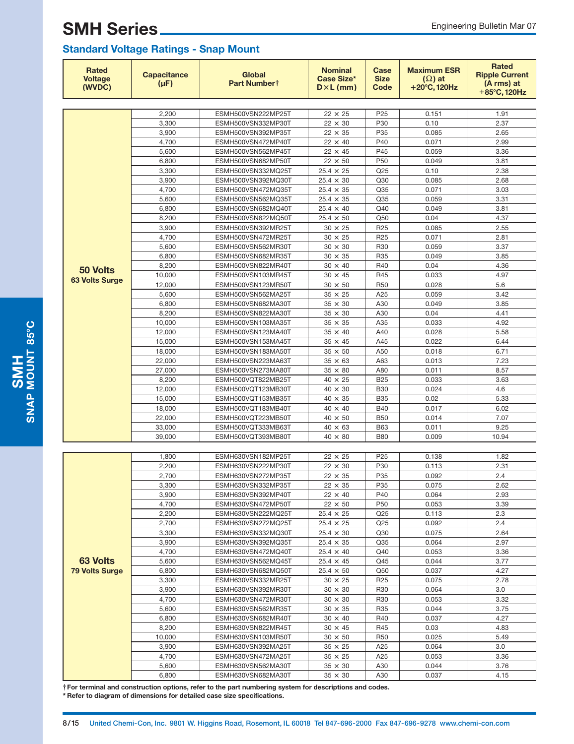| Rated<br><b>Voltage</b><br>(WVDC) | <b>Capacitance</b><br>$(\mu F)$ | Global<br>Part Numbert                   | <b>Nominal</b><br><b>Case Size*</b><br>$D \times L$ (mm) | Case<br><b>Size</b><br>Code | <b>Maximum ESR</b><br>$(\Omega)$ at<br>$+20^{\circ}$ C, 120Hz | <b>Rated</b><br><b>Ripple Current</b><br>(A rms) at<br>$+85^{\circ}$ C. 120Hz |
|-----------------------------------|---------------------------------|------------------------------------------|----------------------------------------------------------|-----------------------------|---------------------------------------------------------------|-------------------------------------------------------------------------------|
|                                   |                                 |                                          |                                                          |                             |                                                               |                                                                               |
|                                   | 2,200                           | ESMH500VSN222MP25T                       | $22 \times 25$                                           | P <sub>25</sub>             | 0.151                                                         | 1.91                                                                          |
|                                   | 3,300                           | ESMH500VSN332MP30T                       | $22 \times 30$                                           | P30                         | 0.10                                                          | 2.37                                                                          |
|                                   | 3,900                           | ESMH500VSN392MP35T                       | $22 \times 35$                                           | P35                         | 0.085                                                         | 2.65                                                                          |
|                                   | 4,700                           | ESMH500VSN472MP40T                       | $22 \times 40$                                           | P40                         | 0.071                                                         | 2.99                                                                          |
|                                   | 5,600                           | ESMH500VSN562MP45T                       | $22 \times 45$                                           | P45                         | 0.059                                                         | 3.36                                                                          |
|                                   | 6,800                           | ESMH500VSN682MP50T                       | $22 \times 50$                                           | P <sub>50</sub>             | 0.049                                                         | 3.81                                                                          |
|                                   | 3,300                           | ESMH500VSN332MQ25T                       | $25.4 \times 25$                                         | Q <sub>25</sub>             | 0.10                                                          | 2.38                                                                          |
|                                   | 3,900                           | ESMH500VSN392MQ30T                       | $25.4 \times 30$                                         | Q30                         | 0.085                                                         | 2.68                                                                          |
|                                   | 4,700                           | ESMH500VSN472MQ35T                       | $25.4 \times 35$                                         | Q <sub>35</sub>             | 0.071                                                         | 3.03                                                                          |
|                                   | 5,600                           | ESMH500VSN562MQ35T                       | $25.4 \times 35$                                         | Q35                         | 0.059                                                         | 3.31                                                                          |
|                                   | 6,800                           | ESMH500VSN682MQ40T                       | $25.4 \times 40$<br>$25.4 \times 50$                     | Q40<br>Q50                  | 0.049<br>0.04                                                 | 3.81<br>4.37                                                                  |
|                                   | 8,200<br>3,900                  | ESMH500VSN822MQ50T<br>ESMH500VSN392MR25T | $30 \times 25$                                           | R <sub>25</sub>             | 0.085                                                         | 2.55                                                                          |
|                                   | 4,700                           |                                          | $30 \times 25$                                           | R <sub>25</sub>             | 0.071                                                         | 2.81                                                                          |
|                                   | 5,600                           | ESMH500VSN472MR25T<br>ESMH500VSN562MR30T | $30 \times 30$                                           | R30                         | 0.059                                                         | 3.37                                                                          |
|                                   | 6,800                           | ESMH500VSN682MR35T                       | $30 \times 35$                                           | R35                         | 0.049                                                         | 3.85                                                                          |
|                                   | 8,200                           | ESMH500VSN822MR40T                       | $30 \times 40$                                           | R40                         | 0.04                                                          | 4.36                                                                          |
| 50 Volts                          | 10.000                          | ESMH500VSN103MR45T                       | $30 \times 45$                                           | R45                         | 0.033                                                         | 4.97                                                                          |
| <b>63 Volts Surge</b>             | 12,000                          | ESMH500VSN123MR50T                       | $30 \times 50$                                           | <b>R50</b>                  | 0.028                                                         | 5.6                                                                           |
|                                   | 5,600                           | ESMH500VSN562MA25T                       | $35 \times 25$                                           | A25                         | 0.059                                                         | 3.42                                                                          |
|                                   | 6,800                           | ESMH500VSN682MA30T                       | $35 \times 30$                                           | A30                         | 0.049                                                         | 3.85                                                                          |
|                                   | 8,200                           | ESMH500VSN822MA30T                       | $35 \times 30$                                           | A30                         | 0.04                                                          | 4.41                                                                          |
|                                   | 10,000                          | ESMH500VSN103MA35T                       | $35 \times 35$                                           | A35                         | 0.033                                                         | 4.92                                                                          |
|                                   | 12,000                          | ESMH500VSN123MA40T                       | $35 \times 40$                                           | A40                         | 0.028                                                         | 5.58                                                                          |
|                                   | 15,000                          | ESMH500VSN153MA45T                       | $35 \times 45$                                           | A45                         | 0.022                                                         | 6.44                                                                          |
|                                   | 18,000                          | ESMH500VSN183MA50T                       | $35 \times 50$                                           | A50                         | 0.018                                                         | 6.71                                                                          |
|                                   | 22,000                          | ESMH500VSN223MA63T                       | $35 \times 63$                                           | A63                         | 0.013                                                         | 7.23                                                                          |
|                                   | 27,000                          | ESMH500VSN273MA80T                       | $35 \times 80$                                           | A80                         | 0.011                                                         | 8.57                                                                          |
|                                   | 8,200                           | ESMH500VQT822MB25T                       | $40 \times 25$                                           | <b>B25</b>                  | 0.033                                                         | 3.63                                                                          |
|                                   | 12,000                          | ESMH500VQT123MB30T                       | $40 \times 30$                                           | <b>B30</b>                  | 0.024                                                         | 4.6                                                                           |
|                                   | 15,000                          | ESMH500VQT153MB35T                       | $40 \times 35$                                           | <b>B35</b>                  | 0.02                                                          | 5.33                                                                          |
|                                   | 18,000                          | ESMH500VQT183MB40T                       | $40 \times 40$                                           | <b>B40</b>                  | 0.017                                                         | 6.02                                                                          |
|                                   | 22,000                          | ESMH500VQT223MB50T                       | $40 \times 50$                                           | <b>B50</b>                  | 0.014                                                         | 7.07                                                                          |
|                                   | 33,000                          | ESMH500VQT333MB63T                       | $40 \times 63$                                           | <b>B63</b>                  | 0.011                                                         | 9.25                                                                          |
|                                   | 39,000                          | ESMH500VQT393MB80T                       | $40 \times 80$                                           | <b>B80</b>                  | 0.009                                                         | 10.94                                                                         |
|                                   |                                 |                                          |                                                          |                             |                                                               |                                                                               |
|                                   | 1,800                           | ESMH630VSN182MP25T                       | $22 \times 25$                                           | P <sub>25</sub>             | 0.138                                                         | 1.82                                                                          |
|                                   | 2,200                           | ESMH630VSN222MP30T                       | $22 \times 30$                                           | P30                         | 0.113                                                         | 2.31                                                                          |
|                                   | 2,700                           | ESMH630VSN272MP35T                       | $22 \times 35$                                           | P35                         | 0.092                                                         | 2.4                                                                           |
|                                   | 3,300                           | ESMH630VSN332MP35T                       | $22$ $\times$ $35$                                       | P35                         | 0.075                                                         | 2.62                                                                          |
|                                   | 3,900                           | ESMH630VSN392MP40T                       | $22 \times 40$                                           | P40                         | 0.064                                                         | 2.93                                                                          |
|                                   | 4,700                           | ESMH630VSN472MP50T                       | $22 \times 50$                                           | P <sub>50</sub>             | 0.053                                                         | 3.39                                                                          |
|                                   | 2,200                           | ESMH630VSN222MQ25T                       | $25.4 \times 25$                                         | Q25                         | 0.113                                                         | 2.3                                                                           |
|                                   | 2,700                           | ESMH630VSN272MQ25T                       | $25.4 \times 25$                                         | Q25                         | 0.092                                                         | 2.4                                                                           |
|                                   | 3,300                           | ESMH630VSN332MQ30T                       | $25.4 \times 30$                                         | Q30                         | 0.075                                                         | 2.64                                                                          |
|                                   | 3,900                           | ESMH630VSN392MQ35T                       | $25.4 \times 35$                                         | Q35                         | 0.064                                                         | 2.97                                                                          |
|                                   | 4,700                           | ESMH630VSN472MQ40T                       | $25.4 \times 40$                                         | Q40                         | 0.053                                                         | 3.36                                                                          |
| 63 Volts                          | 5,600                           | ESMH630VSN562MQ45T                       | $25.4 \times 45$                                         | Q45                         | 0.044                                                         | 3.77                                                                          |
| <b>79 Volts Surge</b>             | 6,800                           | ESMH630VSN682MQ50T<br>ESMH630VSN332MR25T | $25.4 \times 50$                                         | Q50                         | 0.037                                                         | 4.27                                                                          |
|                                   | 3,300<br>3,900                  | ESMH630VSN392MR30T                       | $30 \times 25$<br>$30 \times 30$                         | R <sub>25</sub><br>R30      | 0.075<br>0.064                                                | 2.78<br>3.0                                                                   |
|                                   | 4,700                           | ESMH630VSN472MR30T                       | $30 \times 30$                                           | R <sub>30</sub>             | 0.053                                                         | 3.32                                                                          |
|                                   | 5,600                           | ESMH630VSN562MR35T                       | $30 \times 35$                                           | R35                         | 0.044                                                         | 3.75                                                                          |
|                                   | 6,800                           | ESMH630VSN682MR40T                       | $30 \times 40$                                           | R40                         | 0.037                                                         | 4.27                                                                          |
|                                   | 8,200                           | ESMH630VSN822MR45T                       | $30 \times 45$                                           | R45                         | 0.03                                                          | 4.83                                                                          |
|                                   | 10,000                          | ESMH630VSN103MR50T                       | $30 \times 50$                                           | R <sub>50</sub>             | 0.025                                                         | 5.49                                                                          |
|                                   | 3,900                           | ESMH630VSN392MA25T                       | $35$ $\times$ $25$                                       | A25                         | 0.064                                                         | 3.0                                                                           |
|                                   | 4,700                           | ESMH630VSN472MA25T                       | $35 \times 25$                                           | A25                         | 0.053                                                         | 3.36                                                                          |
|                                   | 5,600                           | ESMH630VSN562MA30T                       | $35 \times 30$                                           | A30                         | 0.044                                                         | 3.76                                                                          |
|                                   | 6,800                           | ESMH630VSN682MA30T                       | $35 \times 30$                                           | A30                         | 0.037                                                         | 4.15                                                                          |

**†For terminal and construction options, refer to the part numbering system for descriptions and codes.**

**\* Refer to diagram of dimensions for detailed case size specifications.**

SMAP MOUNT 85°C **SNAP MOUNT 85C**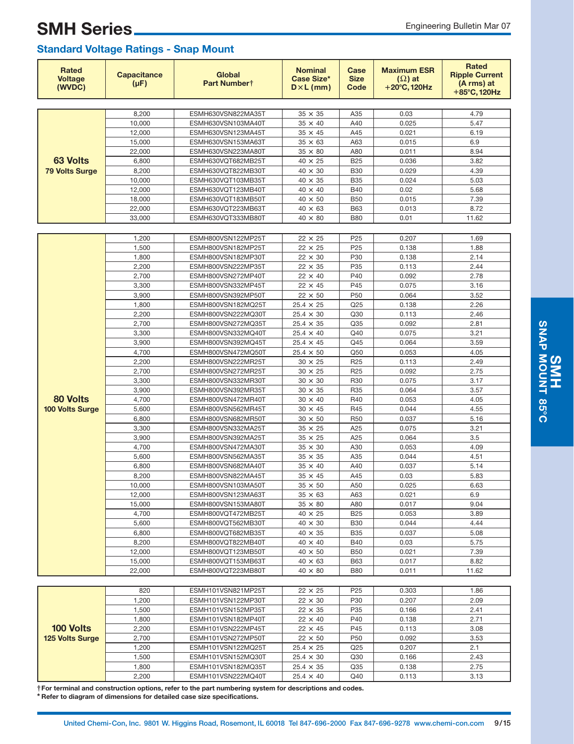| Rated<br><b>Voltage</b><br>(WVDC) | <b>Capacitance</b><br>$(\mu F)$ | <b>Global</b><br>Part Numbert            | <b>Nominal</b><br>Case Size*<br>$D \times L$ (mm) | Case<br><b>Size</b><br>Code | <b>Maximum ESR</b><br>$(\Omega)$ at<br>$+20^{\circ}$ C, 120Hz | <b>Rated</b><br><b>Ripple Current</b><br>(A rms) at<br>+85°C, 120Hz |
|-----------------------------------|---------------------------------|------------------------------------------|---------------------------------------------------|-----------------------------|---------------------------------------------------------------|---------------------------------------------------------------------|
|                                   |                                 |                                          |                                                   |                             |                                                               |                                                                     |
|                                   | 8,200                           | ESMH630VSN822MA35T                       | $35 \times 35$                                    | A35                         | 0.03                                                          | 4.79                                                                |
|                                   | 10,000                          | ESMH630VSN103MA40T                       | $35 \times 40$                                    | A40                         | 0.025                                                         | 5.47                                                                |
|                                   | 12,000                          | ESMH630VSN123MA45T                       | $35 \times 45$                                    | A45                         | 0.021                                                         | 6.19                                                                |
|                                   | 15,000                          | ESMH630VSN153MA63T                       | $35 \times 63$                                    | A63                         | 0.015                                                         | 6.9                                                                 |
| <b>63 Volts</b>                   | 22,000                          | ESMH630VSN223MA80T                       | $35 \times 80$                                    | A80                         | 0.011                                                         | 8.94                                                                |
|                                   | 6,800                           | ESMH630VQT682MB25T                       | $40 \times 25$                                    | <b>B25</b>                  | 0.036                                                         | 3.82                                                                |
| <b>79 Volts Surge</b>             | 8,200                           | ESMH630VQT822MB30T                       | $40 \times 30$                                    | <b>B30</b>                  | 0.029                                                         | 4.39                                                                |
|                                   | 10.000                          | ESMH630VQT103MB35T                       | $40 \times 35$                                    | <b>B35</b>                  | 0.024<br>0.02                                                 | 5.03                                                                |
|                                   | 12,000<br>18,000                | ESMH630VQT123MB40T<br>ESMH630VQT183MB50T | 40 × 40<br>$40 \times 50$                         | <b>B40</b><br><b>B50</b>    | 0.015                                                         | 5.68<br>7.39                                                        |
|                                   | 22,000                          | ESMH630VQT223MB63T                       | $40 \times 63$                                    | <b>B63</b>                  | 0.013                                                         | 8.72                                                                |
|                                   | 33,000                          | ESMH630VQT333MB80T                       | $40 \times 80$                                    | <b>B80</b>                  | 0.01                                                          | 11.62                                                               |
|                                   |                                 |                                          |                                                   |                             |                                                               |                                                                     |
|                                   | 1,200                           | ESMH800VSN122MP25T                       | $22 \times 25$                                    | P <sub>25</sub>             | 0.207                                                         | 1.69                                                                |
|                                   | 1,500                           | ESMH800VSN182MP25T                       | $22 \times 25$                                    | P <sub>25</sub>             | 0.138                                                         | 1.88                                                                |
|                                   | 1,800                           | ESMH800VSN182MP30T                       | $22 \times 30$                                    | P30                         | 0.138                                                         | 2.14                                                                |
|                                   | 2,200                           | ESMH800VSN222MP35T                       | $22 \times 35$                                    | P35                         | 0.113                                                         | 2.44                                                                |
|                                   | 2,700                           | ESMH800VSN272MP40T                       | $22 \times 40$                                    | P40                         | 0.092                                                         | 2.78                                                                |
|                                   | 3,300                           | ESMH800VSN332MP45T                       | $22 \times 45$                                    | P45                         | 0.075                                                         | 3.16                                                                |
|                                   | 3,900                           | ESMH800VSN392MP50T                       | $22 \times 50$                                    | P <sub>50</sub>             | 0.064                                                         | 3.52                                                                |
|                                   | 1,800                           | ESMH800VSN182MQ25T                       | $25.4 \times 25$                                  | Q25                         | 0.138                                                         | 2.26                                                                |
|                                   | 2,200                           | ESMH800VSN222MQ30T                       | $25.4 \times 30$                                  | Q30                         | 0.113                                                         | 2.46                                                                |
|                                   | 2,700                           | ESMH800VSN272MQ35T                       | $25.4 \times 35$                                  | Q35                         | 0.092                                                         | 2.81                                                                |
|                                   | 3,300                           | ESMH800VSN332MQ40T                       | $25.4 \times 40$                                  | Q40                         | 0.075                                                         | 3.21                                                                |
|                                   | 3,900                           | ESMH800VSN392MQ45T                       | $25.4 \times 45$                                  | Q45                         | 0.064                                                         | 3.59                                                                |
|                                   | 4,700                           | ESMH800VSN472MQ50T                       | $25.4 \times 50$                                  | Q50                         | 0.053                                                         | 4.05                                                                |
|                                   | 2,200                           | ESMH800VSN222MR25T                       | $30 \times 25$                                    | R <sub>25</sub>             | 0.113                                                         | 2.49                                                                |
|                                   | 2,700                           | ESMH800VSN272MR25T                       | $30 \times 25$                                    | R <sub>25</sub>             | 0.092                                                         | 2.75                                                                |
|                                   | 3,300                           | ESMH800VSN332MR30T                       | $30 \times 30$                                    | R30                         | 0.075<br>0.064                                                | 3.17                                                                |
| 80 Volts                          | 3,900<br>4,700                  | ESMH800VSN392MR35T<br>ESMH800VSN472MR40T | $30 \times 35$<br>$30 \times 40$                  | R35<br>R40                  | 0.053                                                         | 3.57<br>4.05                                                        |
| 100 Volts Surge                   | 5,600                           | ESMH800VSN562MR45T                       | $30 \times 45$                                    | R45                         | 0.044                                                         | 4.55                                                                |
|                                   | 6,800                           | ESMH800VSN682MR50T                       | $30 \times 50$                                    | R <sub>50</sub>             | 0.037                                                         | 5.16                                                                |
|                                   | 3,300                           | ESMH800VSN332MA25T                       | $35 \times 25$                                    | A25                         | 0.075                                                         | 3.21                                                                |
|                                   | 3,900                           | ESMH800VSN392MA25T                       | $35 \times 25$                                    | A25                         | 0.064                                                         | 3.5                                                                 |
|                                   | 4,700                           | ESMH800VSN472MA30T                       | 35 × 30                                           | A30                         | 0.053                                                         | 4.09                                                                |
|                                   | 5,600                           | ESMH800VSN562MA35T                       | $35 \times 35$                                    | A35                         | 0.044                                                         | 4.51                                                                |
|                                   | 6,800                           | ESMH800VSN682MA40T                       | $35 \times 40$                                    | A40                         | 0.037                                                         | 5.14                                                                |
|                                   | 8,200                           | ESMH800VSN822MA45T                       | $35 \times 45$                                    | A45                         | 0.03                                                          | 5.83                                                                |
|                                   | 10,000                          | ESMH800VSN103MA50T                       | $35$ $\times$ $50$                                | A50                         | 0.025                                                         | 6.63                                                                |
|                                   | 12,000                          | ESMH800VSN123MA63T                       | $35 \times 63$                                    | A63                         | 0.021                                                         | 6.9                                                                 |
|                                   | 15,000                          | ESMH800VSN153MA80T                       | $35 \times 80$                                    | A80                         | 0.017                                                         | 9.04                                                                |
|                                   | 4,700                           | ESMH800VQT472MB25T                       | $40 \times 25$                                    | <b>B25</b>                  | 0.053                                                         | 3.89                                                                |
|                                   | 5,600                           | ESMH800VQT562MB30T                       | $40 \times 30$                                    | <b>B30</b>                  | 0.044                                                         | 4.44                                                                |
|                                   | 6,800                           | ESMH800VQT682MB35T                       | $40 \times 35$                                    | <b>B35</b>                  | 0.037                                                         | 5.08                                                                |
|                                   | 8,200                           | ESMH800VQT822MB40T                       | $40 \times 40$                                    | <b>B40</b>                  | 0.03                                                          | 5.75                                                                |
|                                   | 12,000                          | ESMH800VQT123MB50T                       | $40 \times 50$                                    | <b>B50</b>                  | 0.021                                                         | 7.39<br>8.82                                                        |
|                                   | 15,000<br>22,000                | ESMH800VQT153MB63T<br>ESMH800VQT223MB80T | $40 \times 63$<br>$40 \times 80$                  | <b>B63</b><br><b>B80</b>    | 0.017<br>0.011                                                | 11.62                                                               |
|                                   |                                 |                                          |                                                   |                             |                                                               |                                                                     |
|                                   | 820                             | ESMH101VSN821MP25T                       | $22 \times 25$                                    | P <sub>25</sub>             | 0.303                                                         | 1.86                                                                |
|                                   | 1,200                           | ESMH101VSN122MP30T                       | $22 \times 30$                                    | P30                         | 0.207                                                         | 2.09                                                                |
|                                   | 1,500                           | ESMH101VSN152MP35T                       | $22 \times 35$                                    | P35                         | 0.166                                                         | 2.41                                                                |
|                                   | 1,800                           | ESMH101VSN182MP40T                       | $22 \times 40$                                    | P40                         | 0.138                                                         | 2.71                                                                |
| 100 Volts                         | 2,200                           | ESMH101VSN222MP45T                       | $22 \times 45$                                    | P45                         | 0.113                                                         | 3.08                                                                |
| <b>125 Volts Surge</b>            | 2,700                           | ESMH101VSN272MP50T                       | $22 \times 50$                                    | P <sub>50</sub>             | 0.092                                                         | 3.53                                                                |
|                                   | 1,200                           | ESMH101VSN122MQ25T                       | $25.4 \times 25$                                  | Q25                         | 0.207                                                         | 2.1                                                                 |
|                                   | 1,500                           | ESMH101VSN152MQ30T                       | $25.4 \times 30$                                  | Q30                         | 0.166                                                         | 2.43                                                                |
|                                   | 1,800                           | ESMH101VSN182MQ35T                       | $25.4 \times 35$                                  | Q35                         | 0.138                                                         | 2.75                                                                |
|                                   | 2,200                           | ESMH101VSN222MQ40T                       | $25.4 \times 40$                                  | Q40                         | 0.113                                                         | 3.13                                                                |
|                                   |                                 |                                          |                                                   |                             |                                                               |                                                                     |

**†For terminal and construction options, refer to the part numbering system for descriptions and codes.**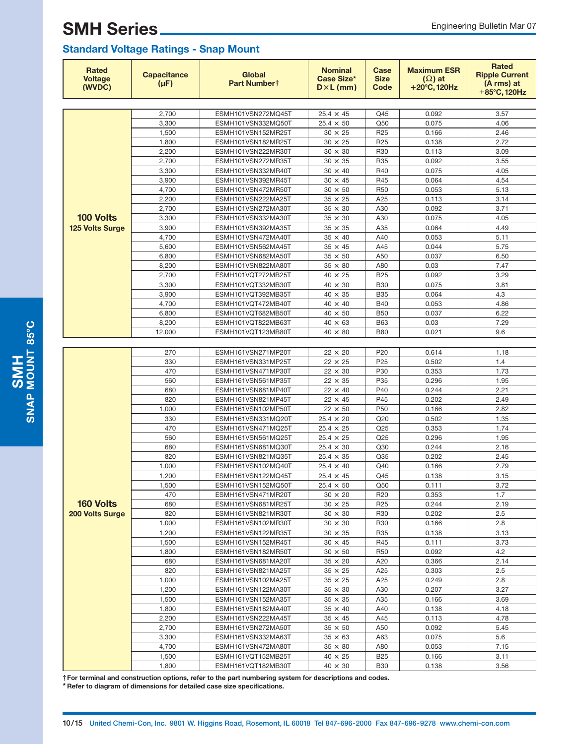### **Standard Voltage Ratings - Snap Mount**

| <b>Rated</b><br><b>Voltage</b><br>(WVDC) | <b>Capacitance</b><br>$(\mu F)$ | Global<br>Part Numbert                   | <b>Nominal</b><br>Case Size*<br>$D \times L$ (mm) | Case<br><b>Size</b><br>Code | <b>Maximum ESR</b><br>$(\Omega)$ at<br>$+20^{\circ}$ C, 120Hz | Rated<br><b>Ripple Current</b><br>(A rms) at<br>+85°C, 120Hz |
|------------------------------------------|---------------------------------|------------------------------------------|---------------------------------------------------|-----------------------------|---------------------------------------------------------------|--------------------------------------------------------------|
|                                          |                                 |                                          |                                                   |                             |                                                               |                                                              |
|                                          | 2,700                           | ESMH101VSN272MQ45T                       | $25.4 \times 45$                                  | Q45                         | 0.092                                                         | 3.57                                                         |
|                                          | 3,300                           | ESMH101VSN332MQ50T                       | $25.4 \times 50$                                  | Q50                         | 0.075                                                         | 4.06                                                         |
|                                          | 1,500                           | ESMH101VSN152MR25T                       | $30 \times 25$                                    | R <sub>25</sub>             | 0.166                                                         | 2.46                                                         |
|                                          | 1,800                           | ESMH101VSN182MR25T                       | $30 \times 25$                                    | R <sub>25</sub>             | 0.138                                                         | 2.72                                                         |
|                                          | 2,200                           | ESMH101VSN222MR30T                       | $30 \times 30$                                    | R30                         | 0.113                                                         | 3.09                                                         |
|                                          | 2,700                           | ESMH101VSN272MR35T                       | $30 \times 35$                                    | R35                         | 0.092                                                         | 3.55                                                         |
|                                          | 3,300                           | ESMH101VSN332MR40T                       | $30 \times 40$                                    | R40                         | 0.075                                                         | 4.05                                                         |
|                                          | 3,900                           | ESMH101VSN392MR45T                       | $30 \times 45$                                    | R45                         | 0.064                                                         | 4.54                                                         |
|                                          | 4,700                           | ESMH101VSN472MR50T                       | $30 \times 50$                                    | R <sub>50</sub>             | 0.053                                                         | 5.13                                                         |
|                                          | 2,200                           | ESMH101VSN222MA25T                       | $35 \times 25$                                    | A25                         | 0.113                                                         | 3.14                                                         |
|                                          | 2,700                           | ESMH101VSN272MA30T                       | $35 \times 30$                                    | A30                         | 0.092                                                         | 3.71                                                         |
| 100 Volts                                | 3,300                           | ESMH101VSN332MA30T                       | $35 \times 30$                                    | A30                         | 0.075                                                         | 4.05                                                         |
| <b>125 Volts Surge</b>                   | 3,900                           | ESMH101VSN392MA35T                       | $35 \times 35$                                    | A35                         | 0.064                                                         | 4.49                                                         |
|                                          | 4,700                           | ESMH101VSN472MA40T                       | $35 \times 40$                                    | A40                         | 0.053                                                         | 5.11                                                         |
|                                          | 5,600                           | ESMH101VSN562MA45T                       | $35 \times 45$                                    | A45                         | 0.044                                                         | 5.75                                                         |
|                                          | 6,800                           | ESMH101VSN682MA50T                       | $35 \times 50$                                    | A50                         | 0.037                                                         | 6.50                                                         |
|                                          | 8,200                           | ESMH101VSN822MA80T                       | $35 \times 80$                                    | A80                         | 0.03                                                          | 7.47                                                         |
|                                          | 2,700                           | ESMH101VQT272MB25T                       | $40 \times 25$                                    | <b>B25</b>                  | 0.092                                                         | 3.29                                                         |
|                                          | 3,300                           | ESMH101VQT332MB30T                       | $40 \times 30$                                    | <b>B30</b>                  | 0.075                                                         | 3.81                                                         |
|                                          | 3,900                           | ESMH101VQT392MB35T                       | $40 \times 35$                                    | <b>B35</b>                  | 0.064                                                         | 4.3                                                          |
|                                          | 4,700                           | ESMH101VQT472MB40T                       | $40 \times 40$                                    | <b>B40</b>                  | 0.053                                                         | 4.86                                                         |
|                                          | 6,800                           | ESMH101VQT682MB50T                       | $40 \times 50$                                    | <b>B50</b>                  | 0.037                                                         | 6.22                                                         |
|                                          | 8,200                           | ESMH101VQT822MB63T                       | $40 \times 63$                                    | <b>B63</b>                  | 0.03                                                          | 7.29                                                         |
|                                          | 12,000                          | ESMH101VQT123MB80T                       | $40 \times 80$                                    | <b>B80</b>                  | 0.021                                                         | 9.6                                                          |
|                                          |                                 |                                          |                                                   |                             |                                                               |                                                              |
|                                          | 270                             | ESMH161VSN271MP20T                       | $22 \times 20$                                    | P <sub>20</sub>             | 0.614                                                         | 1.18                                                         |
|                                          | 330                             | ESMH161VSN331MP25T                       | $22 \times 25$                                    | P <sub>25</sub>             | 0.502                                                         | 1.4                                                          |
|                                          | 470                             | ESMH161VSN471MP30T                       | $22 \times 30$                                    | P30                         | 0.353                                                         | 1.73                                                         |
|                                          | 560                             | ESMH161VSN561MP35T                       | $22 \times 35$                                    | P35                         | 0.296                                                         | 1.95                                                         |
|                                          | 680                             | ESMH161VSN681MP40T                       | $22 \times 40$                                    | P40                         | 0.244                                                         | 2.21                                                         |
|                                          | 820                             | ESMH161VSN821MP45T                       | $22 \times 45$                                    | P45                         | 0.202                                                         | 2.49                                                         |
|                                          | 1,000                           | ESMH161VSN102MP50T                       | $22 \times 50$                                    | P <sub>50</sub>             | 0.166                                                         | 2.82                                                         |
|                                          | 330                             | ESMH161VSN331MQ20T                       | $25.4 \times 20$                                  | Q20                         | 0.502                                                         | 1.35                                                         |
|                                          | 470                             | ESMH161VSN471MQ25T                       | $25.4 \times 25$                                  | Q <sub>25</sub>             | 0.353                                                         | 1.74                                                         |
|                                          | 560                             | ESMH161VSN561MQ25T                       | $25.4 \times 25$                                  | Q25                         | 0.296                                                         | 1.95                                                         |
|                                          | 680                             | ESMH161VSN681MQ30T                       | $25.4 \times 30$                                  | Q30                         | 0.244                                                         | 2.16                                                         |
|                                          | 820                             | ESMH161VSN821MQ35T                       | $25.4 \times 35$                                  | Q35                         | 0.202                                                         | 2.45                                                         |
|                                          | 1,000                           | ESMH161VSN102MQ40T                       | $25.4 \times 40$                                  | Q40                         | 0.166                                                         | 2.79                                                         |
|                                          | 1,200                           | ESMH161VSN122MQ45T                       | $25.4 \times 45$                                  | Q45                         | 0.138                                                         | 3.15                                                         |
|                                          | 1,500                           | ESMH161VSN152MQ50T                       | $25.4\,\times\,50$                                | Q50                         | 0.111                                                         | 3.72                                                         |
|                                          | 470                             | ESMH161VSN471MR20T                       | $30 \times 20$                                    | R <sub>20</sub>             | 0.353                                                         | 1.7                                                          |
| 160 Volts                                | 680                             | ESMH161VSN681MR25T                       | $30 \times 25$                                    | R <sub>25</sub>             | 0.244                                                         | 2.19                                                         |
| 200 Volts Surge                          | 820                             | ESMH161VSN821MR30T                       | $30 \times 30$                                    | R30                         | 0.202                                                         | 2.5                                                          |
|                                          | 1,000                           | ESMH161VSN102MR30T                       | $30 \times 30$                                    | R30                         | 0.166                                                         | 2.8                                                          |
|                                          | 1,200                           | ESMH161VSN122MR35T                       | $30 \times 35$                                    | R35                         | 0.138                                                         | 3.13                                                         |
|                                          | 1,500                           | ESMH161VSN152MR45T                       | $30 \times 45$                                    | R45                         | 0.111                                                         | 3.73                                                         |
|                                          | 1,800                           | ESMH161VSN182MR50T                       | $30 \times 50$                                    | R50                         | 0.092                                                         | 4.2                                                          |
|                                          | 680<br>820                      | ESMH161VSN681MA20T                       | $35 \times 20$                                    | A20                         | 0.366                                                         | 2.14<br>2.5                                                  |
|                                          |                                 | ESMH161VSN821MA25T<br>ESMH161VSN102MA25T | $35 \times 25$                                    | A25                         | 0.303                                                         |                                                              |
|                                          | 1,000<br>1,200                  | ESMH161VSN122MA30T                       | $35 \times 25$<br>$35 \times 30$                  | A25<br>A30                  | 0.249<br>0.207                                                | 2.8<br>3.27                                                  |
|                                          |                                 | ESMH161VSN152MA35T                       |                                                   |                             |                                                               |                                                              |
|                                          | 1,500<br>1,800                  | ESMH161VSN182MA40T                       | $35 \times 35$<br>$35 \times 40$                  | A35<br>A40                  | 0.166<br>0.138                                                | 3.69<br>4.18                                                 |
|                                          | 2,200                           | ESMH161VSN222MA45T                       | $35 \times 45$                                    | A45                         | 0.113                                                         | 4.78                                                         |
|                                          | 2,700                           | ESMH161VSN272MA50T                       | $35 \times 50$                                    | A50                         | 0.092                                                         | 5.45                                                         |
|                                          | 3,300                           | ESMH161VSN332MA63T                       | $35 \times 63$                                    | A63                         | 0.075                                                         | 5.6                                                          |
|                                          | 4,700                           | ESMH161VSN472MA80T                       | $35 \times 80$                                    | A80                         | 0.053                                                         | 7.15                                                         |
|                                          | 1,500                           | ESMH161VQT152MB25T                       | $40 \times 25$                                    | <b>B25</b>                  | 0.166                                                         | 3.11                                                         |
|                                          | 1,800                           | ESMH161VQT182MB30T                       | $40 \times 30$                                    | <b>B30</b>                  | 0.138                                                         | 3.56                                                         |
|                                          |                                 |                                          |                                                   |                             |                                                               |                                                              |

**†For terminal and construction options, refer to the part numbering system for descriptions and codes.**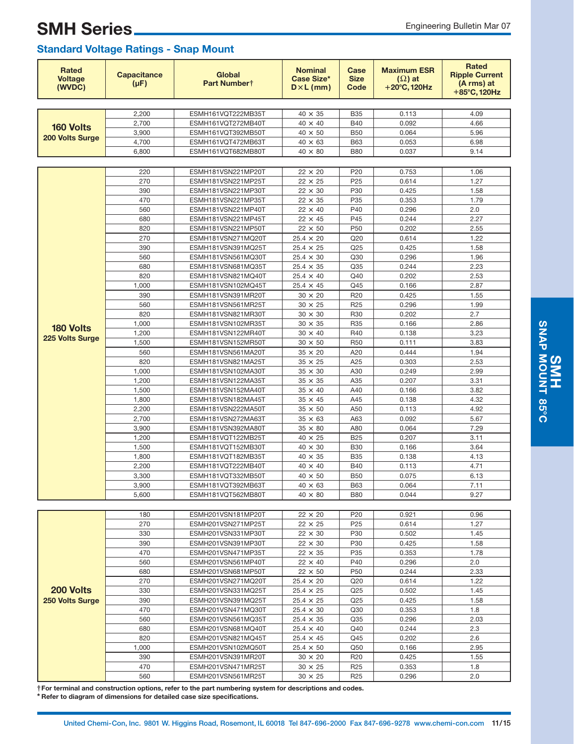| Rated<br><b>Voltage</b><br>(WVDC) | <b>Capacitance</b><br>$(\mu F)$ | Global<br>Part Numbert                   | <b>Nominal</b><br><b>Case Size*</b><br>$D \times L$ (mm) | Case<br><b>Size</b><br>Code | <b>Maximum ESR</b><br>$(\Omega)$ at<br>$+20^{\circ}$ C, 120Hz | <b>Rated</b><br><b>Ripple Current</b><br>(A rms) at<br>+85°C, 120Hz |
|-----------------------------------|---------------------------------|------------------------------------------|----------------------------------------------------------|-----------------------------|---------------------------------------------------------------|---------------------------------------------------------------------|
|                                   |                                 |                                          |                                                          |                             |                                                               |                                                                     |
|                                   | 2,200                           | ESMH161VQT222MB35T                       | $40 \times 35$                                           | <b>B35</b>                  | 0.113                                                         | 4.09                                                                |
| <b>160 Volts</b>                  | 2,700                           | ESMH161VQT272MB40T                       | $40 \times 40$                                           | <b>B40</b>                  | 0.092                                                         | 4.66                                                                |
| 200 Volts Surge                   | 3,900                           | ESMH161VQT392MB50T                       | $40 \times 50$                                           | <b>B50</b>                  | 0.064                                                         | 5.96                                                                |
|                                   | 4,700                           | ESMH161VQT472MB63T                       | $40 \times 63$                                           | <b>B63</b>                  | 0.053                                                         | 6.98                                                                |
|                                   | 6,800                           | ESMH161VQT682MB80T                       | $40 \times 80$                                           | <b>B80</b>                  | 0.037                                                         | 9.14                                                                |
|                                   | 220                             | ESMH181VSN221MP20T                       | $22 \times 20$                                           | P20                         | 0.753                                                         | 1.06                                                                |
|                                   | 270                             | ESMH181VSN221MP25T                       | $22 \times 25$                                           | P <sub>25</sub>             | 0.614                                                         | 1.27                                                                |
|                                   | 390                             | ESMH181VSN221MP30T                       | $22 \times 30$                                           | P30                         | 0.425                                                         | 1.58                                                                |
|                                   | 470                             | ESMH181VSN221MP35T                       | $22 \times 35$                                           | P35                         | 0.353                                                         | 1.79                                                                |
|                                   | 560                             | ESMH181VSN221MP40T                       | $22 \times 40$                                           | P40                         | 0.296                                                         | 2.0                                                                 |
|                                   | 680                             | ESMH181VSN221MP45T                       | $22 \times 45$                                           | P45                         | 0.244                                                         | 2.27                                                                |
|                                   | 820                             | ESMH181VSN221MP50T                       | $22 \times 50$                                           | P <sub>50</sub>             | 0.202                                                         | 2.55                                                                |
|                                   | 270                             | ESMH181VSN271MQ20T                       | $25.4 \times 20$                                         | Q20                         | 0.614                                                         | 1.22                                                                |
|                                   | 390                             | ESMH181VSN391MQ25T                       | $25.4 \times 25$                                         | Q <sub>25</sub>             | 0.425                                                         | 1.58                                                                |
|                                   | 560                             | ESMH181VSN561MQ30T                       | $25.4 \times 30$                                         | Q30                         | 0.296                                                         | 1.96                                                                |
|                                   | 680                             | ESMH181VSN681MQ35T                       | $25.4 \times 35$                                         | Q35                         | 0.244                                                         | 2.23                                                                |
|                                   | 820                             | ESMH181VSN821MQ40T                       | $25.4 \times 40$                                         | Q40                         | 0.202                                                         | 2.53                                                                |
|                                   | 1,000                           | ESMH181VSN102MQ45T                       | $25.4 \times 45$                                         | Q45                         | 0.166                                                         | 2.87                                                                |
|                                   | 390                             | ESMH181VSN391MR20T                       | $30 \times 20$                                           | R <sub>20</sub>             | 0.425                                                         | 1.55                                                                |
|                                   | 560                             | ESMH181VSN561MR25T                       | $30 \times 25$                                           | R <sub>25</sub>             | 0.296                                                         | 1.99                                                                |
|                                   | 820                             | ESMH181VSN821MR30T                       | $30 \times 30$                                           | R30                         | 0.202                                                         | 2.7                                                                 |
| 180 Volts                         | 1,000                           | ESMH181VSN102MR35T                       | $30 \times 35$                                           | R35                         | 0.166                                                         | 2.86                                                                |
| 225 Volts Surge                   | 1,200                           | ESMH181VSN122MR40T                       | $30 \times 40$                                           | R40                         | 0.138                                                         | 3.23                                                                |
|                                   | 1,500                           | ESMH181VSN152MR50T                       | $30 \times 50$                                           | <b>R50</b>                  | 0.111                                                         | 3.83                                                                |
|                                   | 560                             | ESMH181VSN561MA20T                       | $35 \times 20$                                           | A20                         | 0.444                                                         | 1.94                                                                |
|                                   | 820                             | ESMH181VSN821MA25T                       | $35 \times 25$                                           | A25                         | 0.303                                                         | 2.53                                                                |
|                                   | 1,000<br>1,200                  | ESMH181VSN102MA30T<br>ESMH181VSN122MA35T | $35 \times 30$<br>$35 \times 35$                         | A30<br>A35                  | 0.249<br>0.207                                                | 2.99<br>3.31                                                        |
|                                   | 1,500                           | ESMH181VSN152MA40T                       | $35 \times 40$                                           | A40                         | 0.166                                                         | 3.82                                                                |
|                                   | 1,800                           | ESMH181VSN182MA45T                       | $35 \times 45$                                           | A45                         | 0.138                                                         | 4.32                                                                |
|                                   | 2,200                           | ESMH181VSN222MA50T                       | $35 \times 50$                                           | A50                         | 0.113                                                         | 4.92                                                                |
|                                   | 2,700                           | ESMH181VSN272MA63T                       | $35 \times 63$                                           | A63                         | 0.092                                                         | 5.67                                                                |
|                                   | 3,900                           | ESMH181VSN392MA80T                       | $35 \times 80$                                           | A80                         | 0.064                                                         | 7.29                                                                |
|                                   | 1,200                           | ESMH181VQT122MB25T                       | $40 \times 25$                                           | <b>B25</b>                  | 0.207                                                         | 3.11                                                                |
|                                   | 1,500                           | ESMH181VQT152MB30T                       | $40 \times 30$                                           | <b>B30</b>                  | 0.166                                                         | 3.64                                                                |
|                                   | 1,800                           | ESMH181VQT182MB35T                       | $40 \times 35$                                           | <b>B35</b>                  | 0.138                                                         | 4.13                                                                |
|                                   | 2,200                           | ESMH181VQT222MB40T                       | $40 \times 40$                                           | <b>B40</b>                  | 0.113                                                         | 4.71                                                                |
|                                   | 3,300                           | ESMH181VQT332MB50T                       | $40 \times 50$                                           | <b>B50</b>                  | 0.075                                                         | 6.13                                                                |
|                                   | 3,900                           | ESMH181VQT392MB63T                       | $40 \times 63$                                           | <b>B63</b>                  | 0.064                                                         | 7.11                                                                |
|                                   | 5,600                           | ESMH181VQT562MB80T                       | $40 \times 80$                                           | <b>B80</b>                  | 0.044                                                         | 9.27                                                                |
|                                   |                                 |                                          |                                                          |                             |                                                               |                                                                     |
|                                   | 180                             | ESMH201VSN181MP20T                       | $22 \times 20$                                           | P20                         | 0.921                                                         | 0.96                                                                |
|                                   | 270                             | ESMH201VSN271MP25T                       | $22 \times 25$                                           | P <sub>25</sub>             | 0.614                                                         | 1.27                                                                |
|                                   | 330                             | ESMH201VSN331MP30T                       | $22 \times 30$                                           | P30                         | 0.502                                                         | 1.45                                                                |
|                                   | 390<br>470                      | ESMH201VSN391MP30T                       | $22 \times 30$                                           | P30                         | 0.425                                                         | 1.58                                                                |
|                                   | 560                             | ESMH201VSN471MP35T<br>ESMH201VSN561MP40T | $22 \times 35$<br>$22 \times 40$                         | P35<br>P40                  | 0.353<br>0.296                                                | 1.78<br>2.0                                                         |
|                                   | 680                             | ESMH201VSN681MP50T                       | $22 \times 50$                                           | P <sub>50</sub>             | 0.244                                                         | 2.33                                                                |
|                                   | 270                             | ESMH201VSN271MQ20T                       | $25.4 \times 20$                                         | Q20                         | 0.614                                                         | 1.22                                                                |
| 200 Volts                         | 330                             | ESMH201VSN331MQ25T                       | $25.4 \times 25$                                         | Q <sub>25</sub>             | 0.502                                                         | 1.45                                                                |
| 250 Volts Surge                   | 390                             | ESMH201VSN391MQ25T                       | $25.4 \times 25$                                         | Q <sub>25</sub>             | 0.425                                                         | 1.58                                                                |
|                                   | 470                             | ESMH201VSN471MQ30T                       | $25.4 \times 30$                                         | Q30                         | 0.353                                                         | 1.8                                                                 |
|                                   | 560                             | ESMH201VSN561MQ35T                       | $25.4 \times 35$                                         | Q <sub>35</sub>             | 0.296                                                         | 2.03                                                                |
|                                   | 680                             | ESMH201VSN681MQ40T                       | $25.4 \times 40$                                         | Q40                         | 0.244                                                         | 2.3                                                                 |
|                                   | 820                             | ESMH201VSN821MQ45T                       | $25.4 \times 45$                                         | Q45                         | 0.202                                                         | 2.6                                                                 |
|                                   | 1,000                           | ESMH201VSN102MQ50T                       | $25.4 \times 50$                                         | Q50                         | 0.166                                                         | 2.95                                                                |
|                                   | 390                             | ESMH201VSN391MR20T                       | $30 \times 20$                                           | R <sub>20</sub>             | 0.425                                                         | 1.55                                                                |
|                                   | 470                             | ESMH201VSN471MR25T                       | $30 \times 25$                                           | R <sub>25</sub>             | 0.353                                                         | 1.8                                                                 |
|                                   | 560                             | ESMH201VSN561MR25T                       | $30 \times 25$                                           | R <sub>25</sub>             | 0.296                                                         | 2.0                                                                 |

**†For terminal and construction options, refer to the part numbering system for descriptions and codes.**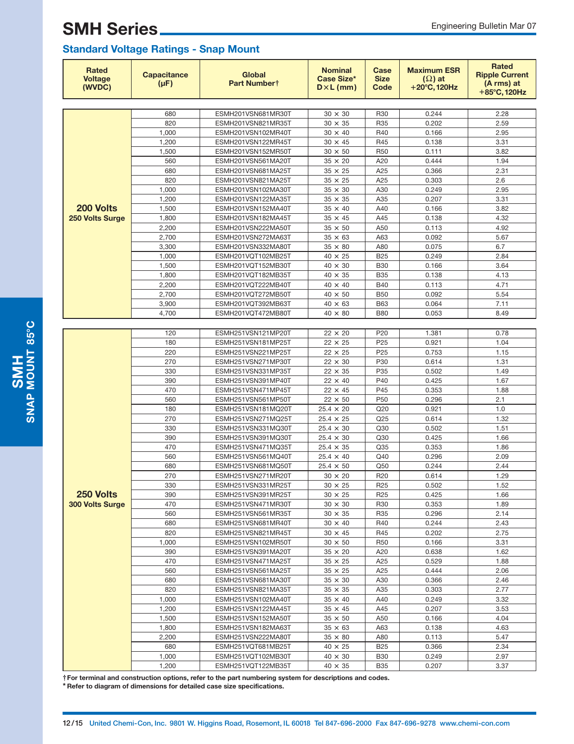| <b>Rated</b><br><b>Voltage</b><br>(WVDC) | <b>Capacitance</b><br>$(\mu F)$ | <b>Global</b><br>Part Numbert            | <b>Nominal</b><br><b>Case Size*</b><br>$D \times L$ (mm) | Case<br><b>Size</b><br>Code | <b>Maximum ESR</b><br>$(\Omega)$ at<br>$+20^{\circ}$ C, 120Hz | <b>Rated</b><br><b>Ripple Current</b><br>(A rms) at<br>$+85^{\circ}$ C, 120Hz |
|------------------------------------------|---------------------------------|------------------------------------------|----------------------------------------------------------|-----------------------------|---------------------------------------------------------------|-------------------------------------------------------------------------------|
|                                          |                                 |                                          |                                                          |                             |                                                               |                                                                               |
|                                          | 680                             | ESMH201VSN681MR30T                       | $30 \times 30$                                           | R <sub>30</sub>             | 0.244                                                         | 2.28                                                                          |
|                                          | 820                             | ESMH201VSN821MR35T                       | $30 \times 35$                                           | R35                         | 0.202                                                         | 2.59                                                                          |
|                                          | 1,000                           | ESMH201VSN102MR40T                       | $30 \times 40$                                           | R40                         | 0.166                                                         | 2.95                                                                          |
|                                          | 1,200                           | ESMH201VSN122MR45T                       | $30 \times 45$                                           | R45                         | 0.138                                                         | 3.31                                                                          |
|                                          | 1,500                           | ESMH201VSN152MR50T                       | $30 \times 50$                                           | R <sub>50</sub>             | 0.111                                                         | 3.82                                                                          |
|                                          | 560                             | ESMH201VSN561MA20T                       | $35 \times 20$                                           | A20                         | 0.444                                                         | 1.94                                                                          |
|                                          | 680                             | ESMH201VSN681MA25T                       | $35 \times 25$                                           | A25                         | 0.366                                                         | 2.31                                                                          |
|                                          | 820                             | ESMH201VSN821MA25T                       | $35 \times 25$                                           | A25                         | 0.303                                                         | 2.6                                                                           |
|                                          | 1,000                           | ESMH201VSN102MA30T                       | $35 \times 30$                                           | A30                         | 0.249                                                         | 2.95                                                                          |
|                                          | 1,200                           | ESMH201VSN122MA35T                       | $35 \times 35$                                           | A35                         | 0.207                                                         | 3.31                                                                          |
| 200 Volts                                | 1,500                           | ESMH201VSN152MA40T                       | $35 \times 40$                                           | A40                         | 0.166                                                         | 3.82                                                                          |
| 250 Volts Surge                          | 1,800<br>2,200                  | ESMH201VSN182MA45T                       | $35 \times 45$<br>$35 \times 50$                         | A45<br>A50                  | 0.138<br>0.113                                                | 4.32<br>4.92                                                                  |
|                                          |                                 | ESMH201VSN222MA50T                       |                                                          | A63                         | 0.092                                                         | 5.67                                                                          |
|                                          | 2,700<br>3,300                  | ESMH201VSN272MA63T<br>ESMH201VSN332MA80T | $35 \times 63$<br>$35 \times 80$                         | A80                         | 0.075                                                         | 6.7                                                                           |
|                                          | 1,000                           | ESMH201VQT102MB25T                       | $40 \times 25$                                           | <b>B25</b>                  | 0.249                                                         | 2.84                                                                          |
|                                          | 1,500                           | ESMH201VQT152MB30T                       | $40 \times 30$                                           | <b>B30</b>                  | 0.166                                                         | 3.64                                                                          |
|                                          | 1,800                           | ESMH201VQT182MB35T                       | $40 \times 35$                                           | <b>B35</b>                  | 0.138                                                         | 4.13                                                                          |
|                                          | 2,200                           | ESMH201VQT222MB40T                       | $40 \times 40$                                           | <b>B40</b>                  | 0.113                                                         | 4.71                                                                          |
|                                          | 2,700                           | ESMH201VQT272MB50T                       | $40 \times 50$                                           | <b>B50</b>                  | 0.092                                                         | 5.54                                                                          |
|                                          | 3,900                           | ESMH201VQT392MB63T                       | $40 \times 63$                                           | <b>B63</b>                  | 0.064                                                         | 7.11                                                                          |
|                                          | 4,700                           | ESMH201VQT472MB80T                       | $40 \times 80$                                           | <b>B80</b>                  | 0.053                                                         | 8.49                                                                          |
|                                          |                                 |                                          |                                                          |                             |                                                               |                                                                               |
|                                          | 120                             | ESMH251VSN121MP20T                       | $22 \times 20$                                           | P20                         | 1.381                                                         | 0.78                                                                          |
|                                          | 180                             | ESMH251VSN181MP25T                       | $22 \times 25$                                           | P <sub>25</sub>             | 0.921                                                         | 1.04                                                                          |
|                                          | 220                             | ESMH251VSN221MP25T                       | $22 \times 25$                                           | P <sub>25</sub>             | 0.753                                                         | 1.15                                                                          |
|                                          | 270                             | ESMH251VSN271MP30T                       | $22 \times 30$                                           | P30                         | 0.614                                                         | 1.31                                                                          |
|                                          | 330                             | ESMH251VSN331MP35T                       | $22 \times 35$                                           | P35                         | 0.502                                                         | 1.49                                                                          |
|                                          | 390                             | ESMH251VSN391MP40T                       | $22 \times 40$                                           | P40                         | 0.425                                                         | 1.67                                                                          |
|                                          | 470                             | ESMH251VSN471MP45T                       | $22 \times 45$                                           | P45                         | 0.353                                                         | 1.88                                                                          |
|                                          | 560                             | ESMH251VSN561MP50T                       | $22 \times 50$                                           | P <sub>50</sub>             | 0.296                                                         | 2.1                                                                           |
|                                          | 180                             | ESMH251VSN181MQ20T                       | $25.4 \times 20$                                         | Q20                         | 0.921                                                         | 1.0                                                                           |
|                                          | 270                             | ESMH251VSN271MQ25T                       | $25.4 \times 25$                                         | Q25                         | 0.614                                                         | 1.32                                                                          |
|                                          | 330                             | ESMH251VSN331MQ30T                       | $25.4 \times 30$                                         | Q30                         | 0.502                                                         | 1.51                                                                          |
|                                          | 390                             | ESMH251VSN391MQ30T                       | $25.4 \times 30$                                         | Q30                         | 0.425                                                         | 1.66                                                                          |
|                                          | 470                             | ESMH251VSN471MQ35T                       | $25.4 \times 35$                                         | Q35                         | 0.353                                                         | 1.86                                                                          |
|                                          | 560                             | ESMH251VSN561MQ40T                       | $25.4 \times 40$                                         | Q40                         | 0.296                                                         | 2.09                                                                          |
|                                          | 680                             | ESMH251VSN681MQ50T                       | $25.4 \times 50$                                         | Q50                         | 0.244                                                         | 2.44                                                                          |
|                                          | 270                             | ESMH251VSN271MR20T                       | $30 \times 20$                                           | R <sub>20</sub>             | 0.614                                                         | 1.29                                                                          |
|                                          | 330                             | ESMH251VSN331MR25T                       | $30$ $\times$ $25$                                       | R <sub>25</sub>             | 0.502                                                         | 1.52                                                                          |
| 250 Volts                                | 390                             | ESMH251VSN391MR25T                       | $30 \times 25$                                           | R <sub>25</sub>             | 0.425                                                         | 1.66                                                                          |
| 300 Volts Surge                          | 470                             | ESMH251VSN471MR30T                       | $30 \times 30$                                           | R30                         | 0.353                                                         | 1.89                                                                          |
|                                          | 560                             | ESMH251VSN561MR35T                       | $30 \times 35$                                           | R35                         | 0.296                                                         | 2.14                                                                          |
|                                          | 680<br>820                      | ESMH251VSN681MR40T<br>ESMH251VSN821MR45T | $30 \times 40$<br>$30 \times 45$                         | R40<br>R45                  | 0.244<br>0.202                                                | 2.43<br>2.75                                                                  |
|                                          | 1,000                           | ESMH251VSN102MR50T                       | $30 \times 50$                                           | R <sub>50</sub>             | 0.166                                                         | 3.31                                                                          |
|                                          | 390                             | ESMH251VSN391MA20T                       | $35 \times 20$                                           | A20                         | 0.638                                                         | 1.62                                                                          |
|                                          | 470                             | ESMH251VSN471MA25T                       | $35 \times 25$                                           | A25                         | 0.529                                                         | 1.88                                                                          |
|                                          | 560                             | ESMH251VSN561MA25T                       | $35 \times 25$                                           | A25                         | 0.444                                                         | 2.06                                                                          |
|                                          | 680                             | ESMH251VSN681MA30T                       | $35 \times 30$                                           | A30                         | 0.366                                                         | 2.46                                                                          |
|                                          | 820                             | ESMH251VSN821MA35T                       | $35 \times 35$                                           | A35                         | 0.303                                                         | 2.77                                                                          |
|                                          | 1,000                           | ESMH251VSN102MA40T                       | $35 \times 40$                                           | A40                         | 0.249                                                         | 3.32                                                                          |
|                                          | 1,200                           | ESMH251VSN122MA45T                       | $35 \times 45$                                           | A45                         | 0.207                                                         | 3.53                                                                          |
|                                          | 1,500                           | ESMH251VSN152MA50T                       | $35 \times 50$                                           | A50                         | 0.166                                                         | 4.04                                                                          |
|                                          | 1,800                           | ESMH251VSN182MA63T                       | $35 \times 63$                                           | A63                         | 0.138                                                         | 4.63                                                                          |
|                                          | 2,200                           | ESMH251VSN222MA80T                       | $35 \times 80$                                           | A80                         | 0.113                                                         | 5.47                                                                          |
|                                          | 680                             | ESMH251VQT681MB25T                       | $40 \times 25$                                           | <b>B25</b>                  | 0.366                                                         | 2.34                                                                          |
|                                          | 1,000                           | ESMH251VQT102MB30T                       | $40 \times 30$                                           | <b>B30</b>                  | 0.249                                                         | 2.97                                                                          |
|                                          | 1,200                           | ESMH251VQT122MB35T                       | $40 \times 35$                                           | <b>B35</b>                  | 0.207                                                         | 3.37                                                                          |

**†For terminal and construction options, refer to the part numbering system for descriptions and codes.**

**\* Refer to diagram of dimensions for detailed case size specifications.**

SMAP MOUNT 85°C **SNAP MOUNT 85C**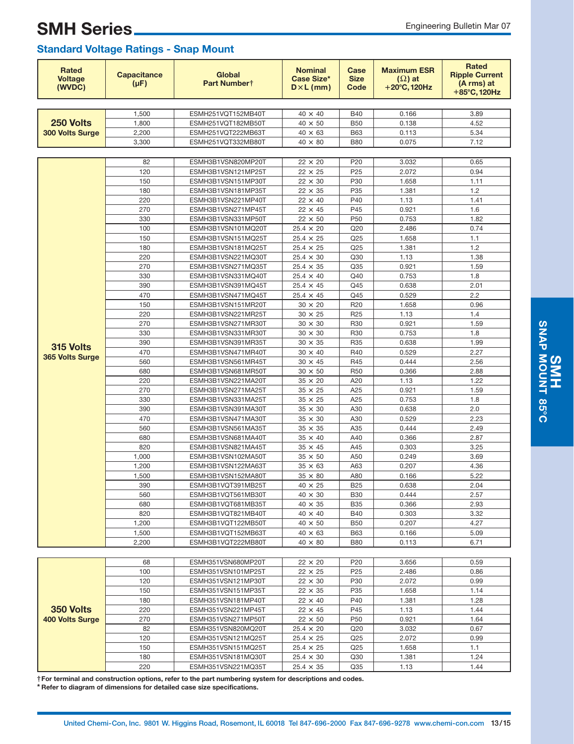| <b>Rated</b><br><b>Voltage</b><br>(WVDC) | <b>Capacitance</b><br>$(\mu F)$ | <b>Global</b><br>Part Numbert | <b>Nominal</b><br>Case Size*<br>$D \times L$ (mm) | Case<br><b>Size</b><br>Code | <b>Maximum ESR</b><br>$(\Omega)$ at<br>$+20^{\circ}$ C, 120Hz | <b>Rated</b><br><b>Ripple Current</b><br>(A rms) at<br>+85°C, 120Hz |
|------------------------------------------|---------------------------------|-------------------------------|---------------------------------------------------|-----------------------------|---------------------------------------------------------------|---------------------------------------------------------------------|
|                                          |                                 |                               |                                                   |                             |                                                               |                                                                     |
|                                          | 1.500                           | ESMH251VQT152MB40T            | $40 \times 40$                                    | <b>B40</b>                  | 0.166                                                         | 3.89                                                                |
| 250 Volts                                | 1,800                           | ESMH251VQT182MB50T            | $40 \times 50$                                    | <b>B50</b>                  | 0.138                                                         | 4.52                                                                |
| <b>300 Volts Surge</b>                   | 2,200                           | ESMH251VQT222MB63T            | $40 \times 63$                                    | <b>B63</b>                  | 0.113                                                         | 5.34                                                                |
|                                          | 3,300                           | ESMH251VQT332MB80T            | $40 \times 80$                                    | <b>B80</b>                  | 0.075                                                         | 7.12                                                                |
|                                          |                                 |                               |                                                   |                             |                                                               |                                                                     |
|                                          | 82                              | ESMH3B1VSN820MP20T            | $22 \times 20$                                    | P20                         | 3.032                                                         | 0.65                                                                |
|                                          | 120                             | ESMH3B1VSN121MP25T            | $22 \times 25$                                    | P <sub>25</sub>             | 2.072                                                         | 0.94                                                                |
|                                          | 150                             | ESMH3B1VSN151MP30T            | $22 \times 30$                                    | P30                         | 1.658                                                         | 1.11                                                                |
|                                          | 180                             | ESMH3B1VSN181MP35T            | $22 \times 35$                                    | P35                         | 1.381                                                         | 1.2                                                                 |
|                                          | 220                             | ESMH3B1VSN221MP40T            | $22 \times 40$                                    | P40                         | 1.13                                                          | 1.41                                                                |
|                                          | 270                             | ESMH3B1VSN271MP45T            | $22 \times 45$                                    | P45                         | 0.921                                                         | 1.6                                                                 |
|                                          | 330                             | ESMH3B1VSN331MP50T            | $22 \times 50$                                    | P <sub>50</sub>             | 0.753                                                         | 1.82                                                                |
|                                          | 100                             | ESMH3B1VSN101MQ20T            | $25.4 \times 20$                                  | Q20                         | 2.486                                                         | 0.74                                                                |
|                                          | 150                             | ESMH3B1VSN151MQ25T            | $25.4 \times 25$                                  | Q25                         | 1.658                                                         | 1.1                                                                 |
|                                          | 180                             | ESMH3B1VSN181MQ25T            | $25.4 \times 25$                                  | Q <sub>25</sub>             | 1.381                                                         | 1.2                                                                 |
|                                          | 220                             | ESMH3B1VSN221MQ30T            | $25.4 \times 30$                                  | Q30                         | 1.13                                                          | 1.38                                                                |
|                                          | 270                             | ESMH3B1VSN271MQ35T            | $25.4 \times 35$                                  | Q35                         | 0.921                                                         | 1.59                                                                |
|                                          | 330                             | ESMH3B1VSN331MQ40T            | $25.4 \times 40$                                  | Q40                         | 0.753                                                         | 1.8                                                                 |
|                                          | 390                             | ESMH3B1VSN391MQ45T            | $25.4 \times 45$                                  | Q45                         | 0.638                                                         | 2.01                                                                |
|                                          | 470                             | ESMH3B1VSN471MQ45T            | $25.4 \times 45$                                  | Q45                         | 0.529                                                         | 2.2                                                                 |
|                                          | 150                             | ESMH3B1VSN151MR20T            | $30 \times 20$                                    | R <sub>20</sub>             | 1.658                                                         | 0.96                                                                |
|                                          | 220                             | ESMH3B1VSN221MR25T            | $30 \times 25$                                    | R <sub>25</sub>             | 1.13                                                          | 1.4                                                                 |
|                                          | 270                             | ESMH3B1VSN271MR30T            | $30 \times 30$                                    | R30                         | 0.921                                                         | 1.59                                                                |
|                                          | 330                             | ESMH3B1VSN331MR30T            | $30 \times 30$                                    | R30                         | 0.753                                                         | 1.8                                                                 |
| 315 Volts                                | 390                             | ESMH3B1VSN391MR35T            | $30 \times 35$                                    | R35                         | 0.638                                                         | 1.99                                                                |
| 365 Volts Surge                          | 470                             | ESMH3B1VSN471MR40T            | $30 \times 40$                                    | R40                         | 0.529                                                         | 2.27                                                                |
|                                          | 560                             | ESMH3B1VSN561MR45T            | $30 \times 45$                                    | R45                         | 0.444                                                         | 2.56                                                                |
|                                          | 680                             | ESMH3B1VSN681MR50T            | $30 \times 50$                                    | R <sub>50</sub>             | 0.366                                                         | 2.88                                                                |
|                                          | 220                             | ESMH3B1VSN221MA20T            | $35 \times 20$                                    | A20                         | 1.13                                                          | 1.22                                                                |
|                                          | 270                             | ESMH3B1VSN271MA25T            | $35 \times 25$                                    | A25                         | 0.921                                                         | 1.59                                                                |
|                                          | 330                             | ESMH3B1VSN331MA25T            | $35 \times 25$                                    | A25                         | 0.753                                                         | 1.8                                                                 |
|                                          | 390                             | ESMH3B1VSN391MA30T            | $35 \times 30$                                    | A30                         | 0.638                                                         | 2.0                                                                 |
|                                          | 470                             | ESMH3B1VSN471MA30T            | $35 \times 30$                                    | A30                         | 0.529                                                         | 2.23                                                                |
|                                          | 560                             | ESMH3B1VSN561MA35T            | $35 \times 35$                                    | A35                         | 0.444                                                         | 2.49                                                                |
|                                          | 680                             | ESMH3B1VSN681MA40T            | $35 \times 40$                                    | A40                         | 0.366                                                         | 2.87                                                                |
|                                          | 820                             | ESMH3B1VSN821MA45T            | $35 \times 45$                                    | A45                         | 0.303                                                         | 3.25                                                                |
|                                          | 1,000                           | ESMH3B1VSN102MA50T            | $35 \times 50$                                    | A50                         | 0.249                                                         | 3.69                                                                |
|                                          | 1,200                           | ESMH3B1VSN122MA63T            | $35 \times 63$                                    | A63                         | 0.207                                                         | 4.36                                                                |
|                                          | 1,500                           | ESMH3B1VSN152MA80T            | $35 \times 80$                                    | A80                         | 0.166                                                         | 5.22                                                                |
|                                          | 390                             | ESMH3B1VQT391MB25T            | $40$ $\times$ $25$                                | <b>B25</b>                  | 0.638                                                         | 2.04                                                                |
|                                          | 560                             | ESMH3B1VQT561MB30T            | $40 \times 30$                                    | <b>B30</b>                  | 0.444                                                         | 2.57                                                                |
|                                          | 680                             | ESMH3B1VQT681MB35T            | $40 \times 35$                                    | <b>B35</b>                  | 0.366                                                         | 2.93                                                                |
|                                          | 820                             | ESMH3B1VQT821MB40T            | $40 \times 40$                                    | <b>B40</b>                  | 0.303                                                         | 3.32                                                                |
|                                          | 1,200                           | ESMH3B1VQT122MB50T            | $40 \times 50$                                    | <b>B50</b>                  | 0.207                                                         | 4.27                                                                |
|                                          | 1,500                           | ESMH3B1VQT152MB63T            | $40 \times 63$                                    | <b>B63</b>                  | 0.166                                                         | 5.09                                                                |
|                                          | 2,200                           | ESMH3B1VQT222MB80T            | $40 \times 80$                                    | <b>B80</b>                  | 0.113                                                         | 6.71                                                                |
|                                          |                                 |                               |                                                   |                             |                                                               |                                                                     |
|                                          | 68                              | ESMH351VSN680MP20T            | $22 \times 20$                                    | P20                         | 3.656                                                         | 0.59                                                                |
|                                          | 100                             | ESMH351VSN101MP25T            | $22 \times 25$                                    | P <sub>25</sub>             | 2.486                                                         | 0.86                                                                |
|                                          | 120                             | ESMH351VSN121MP30T            | $22 \times 30$                                    | P30                         | 2.072                                                         | 0.99                                                                |
|                                          | 150                             | ESMH351VSN151MP35T            | $22 \times 35$                                    | P35                         | 1.658                                                         | 1.14                                                                |
|                                          | 180                             | ESMH351VSN181MP40T            | $22 \times 40$                                    | P40                         | 1.381                                                         | 1.28                                                                |
| 350 Volts                                | 220                             | ESMH351VSN221MP45T            | $22 \times 45$                                    | P45                         | 1.13                                                          | 1.44                                                                |
| 400 Volts Surge                          | 270                             | ESMH351VSN271MP50T            | $22 \times 50$                                    | P50                         | 0.921                                                         | 1.64                                                                |
|                                          | 82                              | ESMH351VSN820MQ20T            | $25.4 \times 20$                                  | Q20                         | 3.032                                                         | 0.67                                                                |
|                                          | 120                             | ESMH351VSN121MQ25T            | $25.4 \times 25$                                  | Q25                         | 2.072                                                         | 0.99                                                                |
|                                          | 150                             | ESMH351VSN151MQ25T            | $25.4 \times 25$                                  | Q <sub>25</sub>             | 1.658                                                         | 1.1                                                                 |
|                                          | 180                             | ESMH351VSN181MQ30T            | $25.4 \times 30$                                  | Q30                         | 1.381                                                         | 1.24                                                                |
|                                          | 220                             | ESMH351VSN221MQ35T            | $25.4$ $\times$ $35$                              | Q35                         | 1.13                                                          | 1.44                                                                |

**†For terminal and construction options, refer to the part numbering system for descriptions and codes.**

**\* Refer to diagram of dimensions for detailed case size specifications.**

**SMH**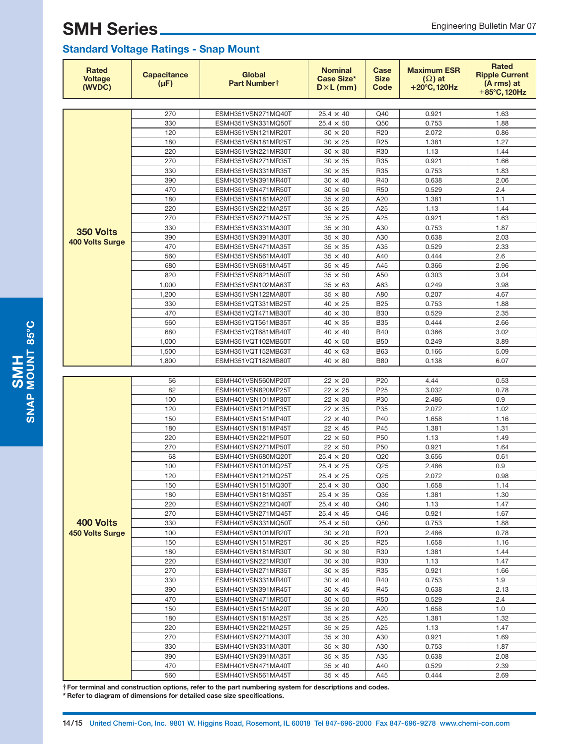### **Standard Voltage Ratings - Snap Mount**

| Rated<br><b>Voltage</b><br>(WVDC)   | <b>Capacitance</b><br>$(\mu F)$ | <b>Global</b><br>Part Numbert            | <b>Nominal</b><br>Case Size*<br>$D \times L$ (mm) | Case<br><b>Size</b><br>Code | <b>Maximum ESR</b><br>$(\Omega)$ at<br>$+20^{\circ}$ C, 120Hz | <b>Rated</b><br><b>Ripple Current</b><br>(A rms) at<br>+85°C, 120Hz |  |  |  |  |  |
|-------------------------------------|---------------------------------|------------------------------------------|---------------------------------------------------|-----------------------------|---------------------------------------------------------------|---------------------------------------------------------------------|--|--|--|--|--|
|                                     |                                 |                                          |                                                   |                             |                                                               |                                                                     |  |  |  |  |  |
|                                     | 270                             | ESMH351VSN271MQ40T                       | $25.4 \times 40$                                  | Q40                         | 0.921                                                         | 1.63                                                                |  |  |  |  |  |
|                                     | 330                             | ESMH351VSN331MQ50T                       | $25.4 \times 50$                                  | Q50                         | 0.753                                                         | 1.88                                                                |  |  |  |  |  |
|                                     | 120                             | ESMH351VSN121MR20T                       | $30 \times 20$                                    | R <sub>20</sub>             | 2.072                                                         | 0.86                                                                |  |  |  |  |  |
|                                     | 180                             | ESMH351VSN181MR25T                       | $30 \times 25$                                    | R <sub>25</sub>             | 1.381                                                         | 1.27                                                                |  |  |  |  |  |
|                                     | 220                             | ESMH351VSN221MR30T                       | $30 \times 30$                                    | R30                         | 1.13                                                          | 1.44                                                                |  |  |  |  |  |
|                                     | 270                             | ESMH351VSN271MR35T                       | $30 \times 35$                                    | R35                         | 0.921                                                         | 1.66                                                                |  |  |  |  |  |
|                                     | 330                             | ESMH351VSN331MR35T                       | $30 \times 35$                                    | R35                         | 0.753                                                         | 1.83                                                                |  |  |  |  |  |
|                                     | 390<br>470                      | ESMH351VSN391MR40T                       | $30 \times 40$<br>$30 \times 50$                  | R40<br><b>R50</b>           | 0.638<br>0.529                                                | 2.06<br>2.4                                                         |  |  |  |  |  |
|                                     | 180                             | ESMH351VSN471MR50T<br>ESMH351VSN181MA20T | $35 \times 20$                                    | A20                         | 1.381                                                         | 1.1                                                                 |  |  |  |  |  |
|                                     | 220                             | ESMH351VSN221MA25T                       | $35 \times 25$                                    | A25                         | 1.13                                                          | 1.44                                                                |  |  |  |  |  |
|                                     | 270                             | ESMH351VSN271MA25T                       | $35 \times 25$                                    | A25                         | 0.921                                                         | 1.63                                                                |  |  |  |  |  |
|                                     | 330                             | ESMH351VSN331MA30T                       | $35 \times 30$                                    | A30                         | 0.753                                                         | 1.87                                                                |  |  |  |  |  |
| 350 Volts                           | 390                             | ESMH351VSN391MA30T                       | $35 \times 30$                                    | A30                         | 0.638                                                         | 2.03                                                                |  |  |  |  |  |
| <b>400 Volts Surge</b>              | 470                             | ESMH351VSN471MA35T                       | $35 \times 35$                                    | A35                         | 0.529                                                         | 2.33                                                                |  |  |  |  |  |
|                                     | 560                             | ESMH351VSN561MA40T                       | $35 \times 40$                                    | A40                         | 0.444                                                         | 2.6                                                                 |  |  |  |  |  |
|                                     | 680                             | ESMH351VSN681MA45T                       | $35 \times 45$                                    | A45                         | 0.366                                                         | 2.96                                                                |  |  |  |  |  |
|                                     | 820                             | ESMH351VSN821MA50T                       | $35 \times 50$                                    | A50                         | 0.303                                                         | 3.04                                                                |  |  |  |  |  |
|                                     | 1,000                           | ESMH351VSN102MA63T                       | $35 \times 63$                                    | A63                         | 0.249                                                         | 3.98                                                                |  |  |  |  |  |
|                                     | 1,200                           | ESMH351VSN122MA80T                       | $35 \times 80$                                    | A80                         | 0.207                                                         | 4.67                                                                |  |  |  |  |  |
|                                     | 330                             | ESMH351VQT331MB25T                       | $40 \times 25$                                    | <b>B25</b>                  | 0.753                                                         | 1.88                                                                |  |  |  |  |  |
|                                     | 470                             | ESMH351VQT471MB30T                       | $40 \times 30$                                    | <b>B30</b>                  | 0.529                                                         | 2.35                                                                |  |  |  |  |  |
|                                     | 560                             | ESMH351VQT561MB35T                       | $40 \times 35$                                    | <b>B35</b>                  | 0.444                                                         | 2.66                                                                |  |  |  |  |  |
|                                     | 680                             | ESMH351VQT681MB40T                       | $40 \times 40$                                    | <b>B40</b>                  | 0.366                                                         | 3.02                                                                |  |  |  |  |  |
|                                     | 1,000                           | ESMH351VQT102MB50T                       | $40 \times 50$                                    | <b>B50</b>                  | 0.249                                                         | 3.89                                                                |  |  |  |  |  |
|                                     | 1,500                           | ESMH351VQT152MB63T                       | $40 \times 63$                                    | <b>B63</b>                  | 0.166                                                         | 5.09                                                                |  |  |  |  |  |
|                                     | 1,800                           | ESMH351VQT182MB80T                       | $40 \times 80$                                    | <b>B80</b>                  | 0.138                                                         | 6.07                                                                |  |  |  |  |  |
|                                     |                                 |                                          |                                                   |                             |                                                               |                                                                     |  |  |  |  |  |
|                                     | 56                              | ESMH401VSN560MP20T                       | $22 \times 20$                                    | P <sub>20</sub>             | 4.44                                                          | 0.53                                                                |  |  |  |  |  |
|                                     | 82                              | ESMH401VSN820MP25T                       | $22 \times 25$                                    | P <sub>25</sub>             | 3.032                                                         | 0.78                                                                |  |  |  |  |  |
|                                     | 100<br>120                      | ESMH401VSN101MP30T                       | $22 \times 30$                                    | P30<br>P35                  | 2.486                                                         | 0.9                                                                 |  |  |  |  |  |
|                                     | 150                             | ESMH401VSN121MP35T<br>ESMH401VSN151MP40T | $22 \times 35$<br>$22 \times 40$                  | P40                         | 2.072<br>1.658                                                | 1.02<br>1.16                                                        |  |  |  |  |  |
|                                     | 180                             | ESMH401VSN181MP45T                       | $22 \times 45$                                    | P45                         | 1.381                                                         | 1.31                                                                |  |  |  |  |  |
|                                     | 220                             | ESMH401VSN221MP50T                       | $22 \times 50$                                    | P <sub>50</sub>             | 1.13                                                          | 1.49                                                                |  |  |  |  |  |
|                                     | 270                             | ESMH401VSN271MP50T                       | $22 \times 50$                                    | P <sub>50</sub>             | 0.921                                                         | 1.64                                                                |  |  |  |  |  |
| 400 Volts<br><b>450 Volts Surge</b> | 68                              | ESMH401VSN680MQ20T                       | $25.4 \times 20$                                  | Q20                         | 3.656                                                         | 0.61                                                                |  |  |  |  |  |
|                                     | 100                             | ESMH401VSN101MQ25T                       | $25.4 \times 25$                                  | Q25                         | 2.486                                                         | 0.9                                                                 |  |  |  |  |  |
|                                     | 120                             | ESMH401VSN121MQ25T                       | $25.4 \times 25$                                  | Q25                         | 2.072                                                         | 0.98                                                                |  |  |  |  |  |
|                                     | 150                             | ESMH401VSN151MQ30T                       | $25.4 \times 30$                                  | Q30                         | 1.658                                                         | 1.14                                                                |  |  |  |  |  |
|                                     | 180                             | ESMH401VSN181MQ35T                       | $25.4 \times 35$                                  | Q <sub>35</sub>             | 1.381                                                         | 1.30                                                                |  |  |  |  |  |
|                                     | 220                             | ESMH401VSN221MQ40T                       | $25.4 \times 40$                                  | Q40                         | 1.13                                                          | 1.47                                                                |  |  |  |  |  |
|                                     | 270                             | ESMH401VSN271MQ45T                       | $25.4 \times 45$                                  | Q45                         | 0.921                                                         | 1.67                                                                |  |  |  |  |  |
|                                     | 330                             | ESMH401VSN331MQ50T                       | $25.4 \times 50$                                  | Q50                         | 0.753                                                         | 1.88                                                                |  |  |  |  |  |
|                                     | 100                             | ESMH401VSN101MR20T                       | $30 \times 20$                                    | R <sub>20</sub>             | 2.486                                                         | 0.78                                                                |  |  |  |  |  |
|                                     | 150                             | ESMH401VSN151MR25T                       | $30 \times 25$                                    | R <sub>25</sub>             | 1.658                                                         | 1.16                                                                |  |  |  |  |  |
|                                     | 180                             | ESMH401VSN181MR30T                       | $30 \times 30$                                    | R30                         | 1.381                                                         | 1.44                                                                |  |  |  |  |  |
|                                     | 220                             | ESMH401VSN221MR30T                       | $30 \times 30$                                    | R30                         | 1.13                                                          | 1.47                                                                |  |  |  |  |  |
|                                     | 270                             | ESMH401VSN271MR35T                       | $30 \times 35$                                    | R35                         | 0.921                                                         | 1.66                                                                |  |  |  |  |  |
|                                     | 330                             | ESMH401VSN331MR40T                       | $30 \times 40$                                    | R40                         | 0.753                                                         | 1.9                                                                 |  |  |  |  |  |
|                                     | 390                             | ESMH401VSN391MR45T                       | $30 \times 45$                                    | R45                         | 0.638                                                         | 2.13                                                                |  |  |  |  |  |
|                                     | 470                             | ESMH401VSN471MR50T                       | $30 \times 50$                                    | <b>R50</b>                  | 0.529                                                         | 2.4                                                                 |  |  |  |  |  |
|                                     | 150<br>180                      | ESMH401VSN151MA20T                       | $35 \times 20$                                    | A20                         | 1.658                                                         | 1.0<br>1.32                                                         |  |  |  |  |  |
|                                     | 220                             | ESMH401VSN181MA25T                       | $35 \times 25$                                    | A25                         | 1.381                                                         |                                                                     |  |  |  |  |  |
|                                     | 270                             | ESMH401VSN221MA25T<br>ESMH401VSN271MA30T | $35 \times 25$<br>$35 \times 30$                  | A25<br>A30                  | 1.13<br>0.921                                                 | 1.47<br>1.69                                                        |  |  |  |  |  |
|                                     | 330                             | ESMH401VSN331MA30T                       | $35 \times 30$                                    | A30                         | 0.753                                                         | 1.87                                                                |  |  |  |  |  |
|                                     | 390                             | ESMH401VSN391MA35T                       | $35 \times 35$                                    | A35                         | 0.638                                                         | 2.08                                                                |  |  |  |  |  |
|                                     | 470                             | ESMH401VSN471MA40T                       | $35 \times 40$                                    | A40                         | 0.529                                                         | 2.39                                                                |  |  |  |  |  |
|                                     | 560                             | ESMH401VSN561MA45T                       | $35 \times 45$                                    | A45                         | 0.444                                                         | 2.69                                                                |  |  |  |  |  |

**†For terminal and construction options, refer to the part numbering system for descriptions and codes.**